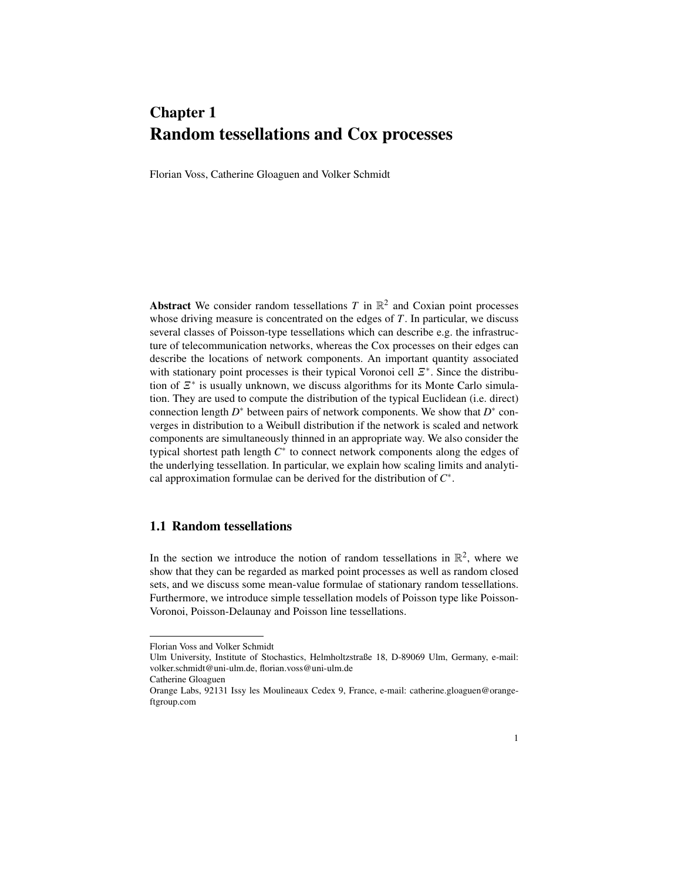# Chapter 1 Random tessellations and Cox processes

Florian Voss, Catherine Gloaguen and Volker Schmidt

Abstract We consider random tessellations  $T$  in  $\mathbb{R}^2$  and Coxian point processes whose driving measure is concentrated on the edges of *T*. In particular, we discuss several classes of Poisson-type tessellations which can describe e.g. the infrastructure of telecommunication networks, whereas the Cox processes on their edges can describe the locations of network components. An important quantity associated with stationary point processes is their typical Voronoi cell  $E^*$ . Since the distribution of  $\mathbb{E}^*$  is usually unknown, we discuss algorithms for its Monte Carlo simulation. They are used to compute the distribution of the typical Euclidean (i.e. direct) connection length *D*<sup>∗</sup> between pairs of network components. We show that *D*<sup>∗</sup> converges in distribution to a Weibull distribution if the network is scaled and network components are simultaneously thinned in an appropriate way. We also consider the typical shortest path length  $C^*$  to connect network components along the edges of the underlying tessellation. In particular, we explain how scaling limits and analytical approximation formulae can be derived for the distribution of *C* ∗ .

## 1.1 Random tessellations

In the section we introduce the notion of random tessellations in  $\mathbb{R}^2$ , where we show that they can be regarded as marked point processes as well as random closed sets, and we discuss some mean-value formulae of stationary random tessellations. Furthermore, we introduce simple tessellation models of Poisson type like Poisson-Voronoi, Poisson-Delaunay and Poisson line tessellations.

Florian Voss and Volker Schmidt

Ulm University, Institute of Stochastics, Helmholtzstraße 18, D-89069 Ulm, Germany, e-mail: volker.schmidt@uni-ulm.de, florian.voss@uni-ulm.de

Catherine Gloaguen

Orange Labs, 92131 Issy les Moulineaux Cedex 9, France, e-mail: catherine.gloaguen@orangeftgroup.com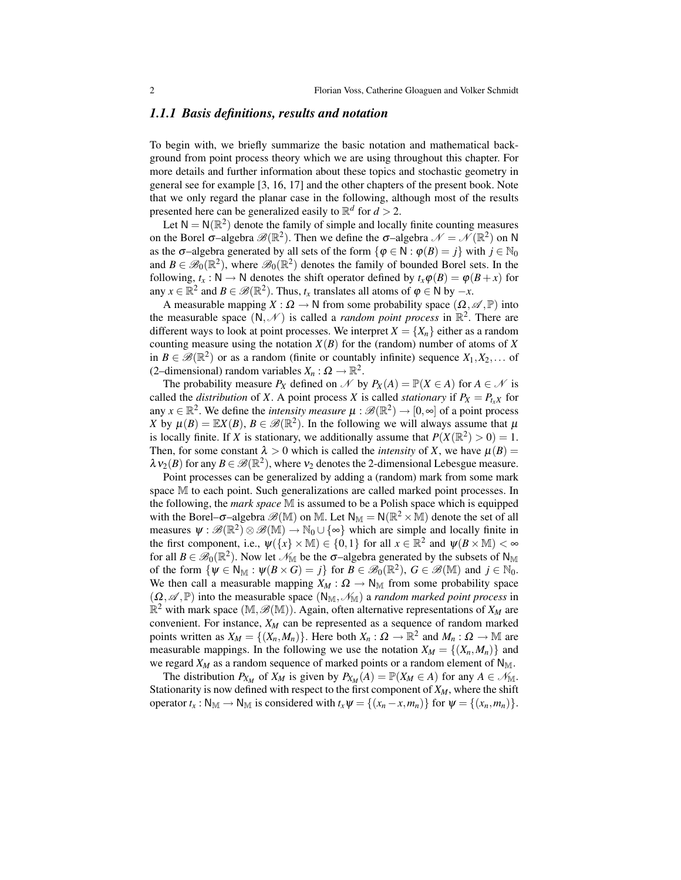### *1.1.1 Basis definitions, results and notation*

To begin with, we briefly summarize the basic notation and mathematical background from point process theory which we are using throughout this chapter. For more details and further information about these topics and stochastic geometry in general see for example [3, 16, 17] and the other chapters of the present book. Note that we only regard the planar case in the following, although most of the results presented here can be generalized easily to  $\mathbb{R}^d$  for  $d > 2$ .

Let  $N = N(\mathbb{R}^2)$  denote the family of simple and locally finite counting measures on the Borel  $\sigma$ –algebra  $\mathscr{B}(\mathbb{R}^2)$ . Then we define the  $\sigma$ –algebra  $\mathscr{N} = \mathscr{N}(\mathbb{R}^2)$  on N as the  $\sigma$ –algebra generated by all sets of the form  $\{\phi \in \mathbb{N} : \phi(B) = j\}$  with  $j \in \mathbb{N}_0$ and  $B \in \mathscr{B}_0(\mathbb{R}^2)$ , where  $\mathscr{B}_0(\mathbb{R}^2)$  denotes the family of bounded Borel sets. In the following,  $t_x : N \to N$  denotes the shift operator defined by  $t_x \varphi(B) = \varphi(B + x)$  for any  $x \in \mathbb{R}^2$  and  $B \in \mathcal{B}(\mathbb{R}^2)$ . Thus,  $t_x$  translates all atoms of  $\varphi \in N$  by  $-x$ .

A measurable mapping  $X : \Omega \to \mathbb{N}$  from some probability space  $(\Omega, \mathscr{A}, \mathbb{P})$  into the measurable space  $(N, \mathcal{N})$  is called a *random point process* in  $\mathbb{R}^2$ . There are different ways to look at point processes. We interpret  $X = \{X_n\}$  either as a random counting measure using the notation  $X(B)$  for the (random) number of atoms of X in  $B \in \mathscr{B}(\mathbb{R}^2)$  or as a random (finite or countably infinite) sequence  $X_1, X_2, \ldots$  of (2-dimensional) random variables  $X_n : \Omega \to \mathbb{R}^2$ .

The probability measure  $P_X$  defined on N by  $P_X(A) = \mathbb{P}(X \in A)$  for  $A \in \mathcal{N}$  is called the *distribution* of *X*. A point process *X* is called *stationary* if  $P_X = P_{t \cdot X}$  for any  $x \in \mathbb{R}^2$ . We define the *intensity measure*  $\mu : \mathscr{B}(\mathbb{R}^2) \to [0, \infty]$  of a point process *X* by  $\mu(B) = \mathbb{E}X(B), B \in \mathcal{B}(\mathbb{R}^2)$ . In the following we will always assume that  $\mu$ is locally finite. If *X* is stationary, we additionally assume that  $P(X(\mathbb{R}^2) > 0) = 1$ . Then, for some constant  $\lambda > 0$  which is called the *intensity* of *X*, we have  $\mu(B) =$  $\lambda v_2(B)$  for any  $B \in \mathscr{B}(\mathbb{R}^2)$ , where  $v_2$  denotes the 2-dimensional Lebesgue measure.

Point processes can be generalized by adding a (random) mark from some mark space M to each point. Such generalizations are called marked point processes. In the following, the *mark space* M is assumed to be a Polish space which is equipped with the Borel– $\sigma$ –algebra  $\mathscr{B}(\mathbb{M})$  on M. Let  $\mathsf{N}_{\mathbb{M}} = \mathsf{N}(\mathbb{R}^2 \times \mathbb{M})$  denote the set of all measures  $\psi : \mathscr{B}(\mathbb{R}^2) \otimes \mathscr{B}(\mathbb{M}) \to \mathbb{N}_0 \cup \{ \infty \}$  which are simple and locally finite in the first component, i.e.,  $\psi({x} \times \mathbb{M}) \in \{0,1\}$  for all  $x \in \mathbb{R}^2$  and  $\psi(B \times \mathbb{M}) < \infty$ for all  $B \in \mathscr{B}_0(\mathbb{R}^2)$ . Now let  $\mathscr{N}_{\mathbb{M}}$  be the  $\sigma$ -algebra generated by the subsets of N<sub>M</sub> of the form  $\{\psi \in \mathsf{N}_\mathbb{M} : \psi(B \times G) = j\}$  for  $B \in \mathscr{B}_0(\mathbb{R}^2)$ ,  $G \in \mathscr{B}(\mathbb{M})$  and  $j \in \mathbb{N}_0$ . We then call a measurable mapping  $X_M : \Omega \to \mathbb{N}_M$  from some probability space  $(\Omega, \mathscr{A}, \mathbb{P})$  into the measurable space  $(N_M, \mathscr{N}_M)$  a *random marked point process* in  $\mathbb{R}^2$  with mark space  $(\mathbb{M}, \mathscr{B}(\mathbb{M}))$ . Again, often alternative representations of  $X_M$  are convenient. For instance, *X<sup>M</sup>* can be represented as a sequence of random marked points written as  $X_M = \{(X_n, M_n)\}\$ . Here both  $X_n : \Omega \to \mathbb{R}^2$  and  $M_n : \Omega \to \mathbb{M}$  are measurable mappings. In the following we use the notation  $X_M = \{(X_n, M_n)\}\$ and we regard  $X_M$  as a random sequence of marked points or a random element of  $N_M$ .

The distribution  $P_{X_M}$  of  $X_M$  is given by  $P_{X_M}(A) = \mathbb{P}(X_M \in A)$  for any  $A \in \mathcal{N}_{M}$ . Stationarity is now defined with respect to the first component of  $X_M$ , where the shift operator  $t_x : N_M \to N_M$  is considered with  $t_x \psi = \{(x_n - x, m_n)\}\$ for  $\psi = \{(x_n, m_n)\}.$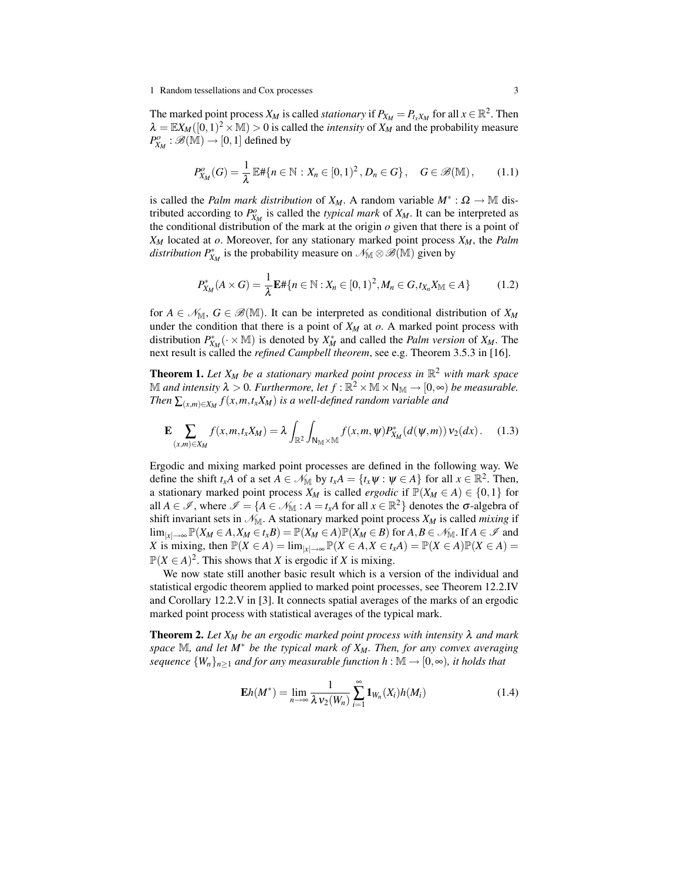#### 1 Random tessellations and Cox processes 3

The marked point process  $X_M$  is called *stationary* if  $P_{X_M} = P_{t_X X_M}$  for all  $x \in \mathbb{R}^2$ . Then  $\lambda = \mathbb{E} X_M([0,1)^2 \times \mathbb{M}) > 0$  is called the *intensity* of  $X_M^{\mathcal{A}}$  and the probability measure  $P^o_{X_M} : \mathscr{B}(\mathbb{M}) \to [0,1]$  defined by

$$
P_{X_M}^o(G) = \frac{1}{\lambda} \mathbb{E} \# \{ n \in \mathbb{N} : X_n \in [0,1)^2, D_n \in G \}, \quad G \in \mathscr{B}(\mathbb{M}), \qquad (1.1)
$$

is called the *Palm mark distribution* of  $X_M$ . A random variable  $M^*$ :  $\Omega \to \mathbb{M}$  distributed according to  $P_{X_M}^o$  is called the *typical mark* of  $X_M$ . It can be interpreted as the conditional distribution of the mark at the origin *o* given that there is a point of *X<sup>M</sup>* located at *o*. Moreover, for any stationary marked point process *XM*, the *Palm distribution*  $P_{X_M}^*$  is the probability measure on  $\mathcal{N}_{\mathbb{M}} \otimes \mathcal{B}(\mathbb{M})$  given by

$$
P_{X_M}^*(A \times G) = \frac{1}{\lambda} \mathbf{E} \# \{ n \in \mathbb{N} : X_n \in [0,1)^2, M_n \in G, t_{X_n} X_{\mathbb{M}} \in A \}
$$
(1.2)

for  $A \in \mathcal{N}_M$ ,  $G \in \mathcal{B}(\mathbb{M})$ . It can be interpreted as conditional distribution of  $X_M$ under the condition that there is a point of  $X_M$  at  $o$ . A marked point process with distribution  $P_{X_M}^*$  (· × M) is denoted by  $X_M^*$  and called the *Palm version* of  $X_M$ . The next result is called the *refined Campbell theorem*, see e.g. Theorem 3.5.3 in [16].

**Theorem 1.** Let  $X_M$  be a stationary marked point process in  $\mathbb{R}^2$  with mark space  $\mathbb M$  and intensity  $\lambda > 0$ . Furthermore, let  $f : \mathbb R^2 \times \mathbb M \times \mathsf{N}_\mathbb M \to [0,\infty)$  be measurable. *Then*  $\sum_{(x,m)\in X_M} f(x,m,t_xX_M)$  is a well-defined random variable and

$$
\mathbf{E} \sum_{(x,m)\in X_M} f(x,m,t_x X_M) = \lambda \int_{\mathbb{R}^2} \int_{\mathsf{N}_M \times \mathbb{M}} f(x,m,\psi) P_{X_M}^*(d(\psi,m)) \nu_2(dx). \tag{1.3}
$$

Ergodic and mixing marked point processes are defined in the following way. We define the shift  $t_x A$  of a set  $A \in \mathcal{N}_M$  by  $t_x A = \{t_x \psi : \psi \in A\}$  for all  $x \in \mathbb{R}^2$ . Then, a stationary marked point process  $X_M$  is called *ergodic* if  $\mathbb{P}(X_M \in A) \in \{0,1\}$  for all  $A \in \mathcal{I}$ , where  $\mathcal{I} = \{A \in \mathcal{N}_{\mathbb{M}} : A = t_x A$  for all  $x \in \mathbb{R}^2\}$  denotes the  $\sigma$ -algebra of shift invariant sets in  $\mathcal{N}_M$ . A stationary marked point process  $X_M$  is called *mixing* if lim<sub>|*x*|→∞</sub>  $\mathbb{P}(X_M \in A, X_M \in t_x B) = \mathbb{P}(X_M \in A) \mathbb{P}(X_M \in B)$  for  $A, B \in \mathcal{N}_M$ . If  $A \in \mathcal{I}$  and *X* is mixing, then  $\mathbb{P}(X \in A) = \lim_{|x| \to \infty} \mathbb{P}(X \in A, X \in t_x A) = \mathbb{P}(X \in A) \mathbb{P}(X \in A) =$  $P(X \in A)^2$ . This shows that *X* is ergodic if *X* is mixing.

We now state still another basic result which is a version of the individual and statistical ergodic theorem applied to marked point processes, see Theorem 12.2.IV and Corollary 12.2.V in [3]. It connects spatial averages of the marks of an ergodic marked point process with statistical averages of the typical mark.

Theorem 2. *Let X<sup>M</sup> be an ergodic marked point process with intensity* λ *and mark space* M*, and let M*<sup>∗</sup> *be the typical mark of XM. Then, for any convex averaging sequence*  ${W_n}_{n>1}$  *and for any measurable function*  $h : \mathbb{M} \to [0, \infty)$ *, it holds that* 

$$
\mathbf{E}h(M^*) = \lim_{n \to \infty} \frac{1}{\lambda \mathbf{v}_2(W_n)} \sum_{i=1}^{\infty} \mathbf{1}_{W_n}(X_i) h(M_i)
$$
(1.4)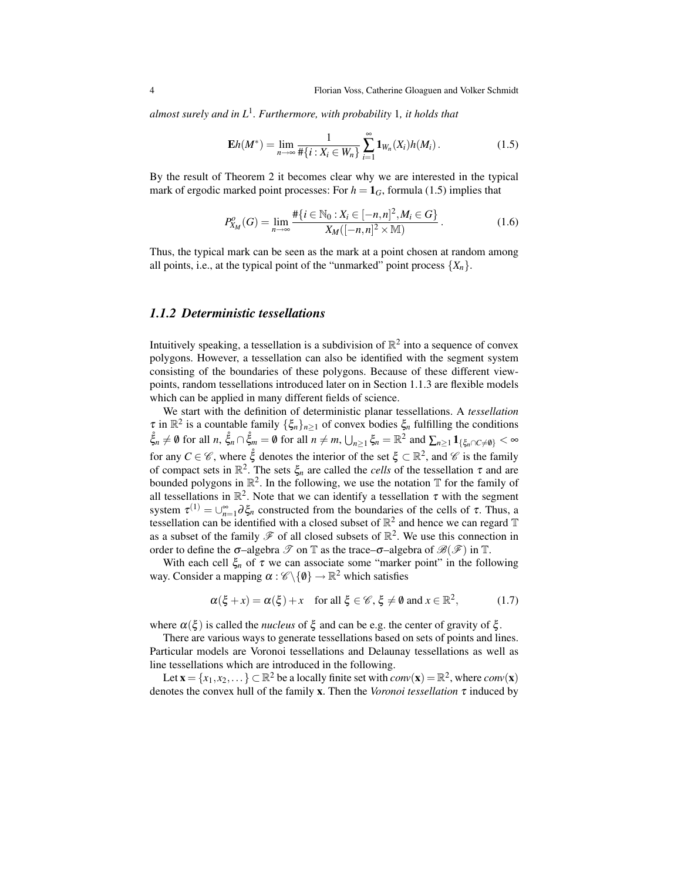*almost surely and in L*<sup>1</sup> *. Furthermore, with probability* 1*, it holds that*

$$
\mathbf{E}h(M^*) = \lim_{n \to \infty} \frac{1}{\#\{i : X_i \in W_n\}} \sum_{i=1}^{\infty} \mathbf{1}_{W_n}(X_i) h(M_i).
$$
 (1.5)

By the result of Theorem 2 it becomes clear why we are interested in the typical mark of ergodic marked point processes: For  $h = 1<sub>G</sub>$ , formula (1.5) implies that

$$
P_{X_M}^o(G) = \lim_{n \to \infty} \frac{\#\{i \in \mathbb{N}_0 : X_i \in [-n, n]^2, M_i \in G\}}{X_M([-n, n]^2 \times \mathbb{M})}.
$$
 (1.6)

Thus, the typical mark can be seen as the mark at a point chosen at random among all points, i.e., at the typical point of the "unmarked" point process  $\{X_n\}$ .

### *1.1.2 Deterministic tessellations*

Intuitively speaking, a tessellation is a subdivision of  $\mathbb{R}^2$  into a sequence of convex polygons. However, a tessellation can also be identified with the segment system consisting of the boundaries of these polygons. Because of these different viewpoints, random tessellations introduced later on in Section 1.1.3 are flexible models which can be applied in many different fields of science.

We start with the definition of deterministic planar tessellations. A *tessellation*  $\tau$  in  $\mathbb{R}^2$  is a countable family  $\{\xi_n\}_{n\geq 1}$  of convex bodies  $\xi_n$  fulfilling the conditions  $\ddot{\xi}_n \neq \emptyset$  for all  $n, \, \dot{\xi}_n \cap \ddot{\xi}_m = \emptyset$  for all  $n \neq m$ ,  $\bigcup_{n \geq 1} \xi_n = \mathbb{R}^2$  and  $\sum_{n \geq 1} \mathbf{1}_{\{\xi_n \cap C \neq \emptyset\}} < \infty$ for any  $C \in \mathscr{C}$ , where  $\dot{\xi}$  denotes the interior of the set  $\xi \subset \mathbb{R}^2$ , and  $\mathscr{C}$  is the family of compact sets in  $\mathbb{R}^2$ . The sets  $\xi_n$  are called the *cells* of the tessellation  $\tau$  and are bounded polygons in  $\mathbb{R}^2$ . In the following, we use the notation  $\mathbb T$  for the family of all tessellations in  $\mathbb{R}^2$ . Note that we can identify a tessellation  $\tau$  with the segment system  $\tau^{(1)} = \bigcup_{n=1}^{\infty} \partial \xi_n$  constructed from the boundaries of the cells of  $\tau$ . Thus, a tessellation can be identified with a closed subset of  $\mathbb{R}^2$  and hence we can regard  $\mathbb T$ as a subset of the family  $\mathscr F$  of all closed subsets of  $\mathbb R^2$ . We use this connection in order to define the  $\sigma$ -algebra  $\mathscr T$  on  $\mathbb T$  as the trace- $\sigma$ -algebra of  $\mathscr B(\mathscr F)$  in  $\mathbb T$ .

With each cell  $\xi_n$  of  $\tau$  we can associate some "marker point" in the following way. Consider a mapping  $\alpha : \mathscr{C} \backslash \{0\} \rightarrow \mathbb{R}^2$  which satisfies

$$
\alpha(\xi + x) = \alpha(\xi) + x \quad \text{for all } \xi \in \mathscr{C}, \xi \neq \emptyset \text{ and } x \in \mathbb{R}^2,
$$
 (1.7)

where  $\alpha(\xi)$  is called the *nucleus* of  $\xi$  and can be e.g. the center of gravity of  $\xi$ .

There are various ways to generate tessellations based on sets of points and lines. Particular models are Voronoi tessellations and Delaunay tessellations as well as line tessellations which are introduced in the following.

Let  $\mathbf{x} = \{x_1, x_2, \dots\} \subset \mathbb{R}^2$  be a locally finite set with  $conv(\mathbf{x}) = \mathbb{R}^2$ , where  $conv(\mathbf{x})$ denotes the convex hull of the family x. Then the *Voronoi tessellation* τ induced by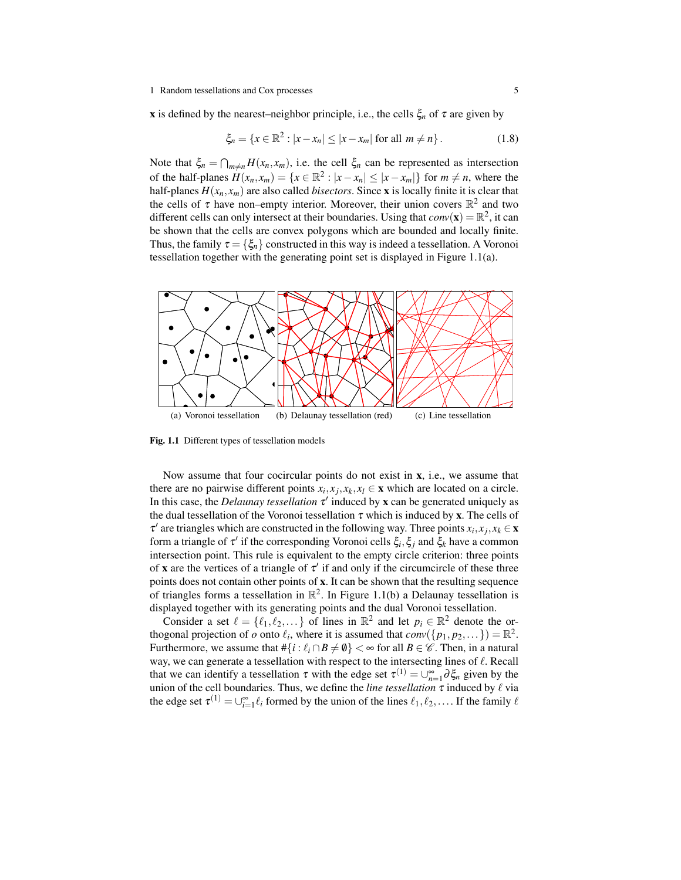x is defined by the nearest–neighbor principle, i.e., the cells  $\xi_n$  of  $\tau$  are given by

$$
\xi_n = \{ x \in \mathbb{R}^2 : |x - x_n| \le |x - x_m| \text{ for all } m \ne n \}.
$$
 (1.8)

Note that  $\xi_n = \bigcap_{m \neq n} H(x_n, x_m)$ , i.e. the cell  $\xi_n$  can be represented as intersection of the half-planes  $H(x_n, x_m) = \{x \in \mathbb{R}^2 : |x - x_n| \le |x - x_m|\}$  for  $m \ne n$ , where the half-planes  $H(x_n, x_m)$  are also called *bisectors*. Since **x** is locally finite it is clear that the cells of  $\tau$  have non–empty interior. Moreover, their union covers  $\mathbb{R}^2$  and two different cells can only intersect at their boundaries. Using that  $conv(\mathbf{x}) = \mathbb{R}^2$ , it can be shown that the cells are convex polygons which are bounded and locally finite. Thus, the family  $\tau = {\xi_n}$  constructed in this way is indeed a tessellation. A Voronoi tessellation together with the generating point set is displayed in Figure 1.1(a).



Fig. 1.1 Different types of tessellation models

Now assume that four cocircular points do not exist in  $x$ , i.e., we assume that there are no pairwise different points  $x_i, x_j, x_k, x_l \in \mathbf{x}$  which are located on a circle. In this case, the *Delaunay tessellation*  $\tau'$  induced by **x** can be generated uniquely as the dual tessellation of the Voronoi tessellation  $\tau$  which is induced by **x**. The cells of  $\tau'$  are triangles which are constructed in the following way. Three points  $x_i, x_j, x_k \in \mathbf{x}$ form a triangle of τ' if the corresponding Voronoi cells  $\xi_i$ ,  $\xi_j$  and  $\xi_k$  have a common intersection point. This rule is equivalent to the empty circle criterion: three points of x are the vertices of a triangle of  $\tau'$  if and only if the circumcircle of these three points does not contain other points of x. It can be shown that the resulting sequence of triangles forms a tessellation in  $\mathbb{R}^2$ . In Figure 1.1(b) a Delaunay tessellation is displayed together with its generating points and the dual Voronoi tessellation.

Consider a set  $\ell = \{\ell_1, \ell_2, ...\}$  of lines in  $\mathbb{R}^2$  and let  $p_i \in \mathbb{R}^2$  denote the orthogonal projection of  $o$  onto  $\ell_i$ , where it is assumed that  $conv({p_1, p_2,...}) = \mathbb{R}^2$ . Furthermore, we assume that  $\#\{i : \ell_i \cap B \neq \emptyset\} < \infty$  for all  $B \in \mathscr{C}$ . Then, in a natural way, we can generate a tessellation with respect to the intersecting lines of  $\ell$ . Recall that we can identify a tessellation  $\tau$  with the edge set  $\tau^{(1)} = \bigcup_{n=1}^{\infty} \partial \xi_n$  given by the union of the cell boundaries. Thus, we define the *line tessellation*  $\tau$  induced by  $\ell$  via the edge set  $\tau^{(1)} = \bigcup_{i=1}^{\infty} \ell_i$  formed by the union of the lines  $\ell_1, \ell_2, \ldots$  If the family  $\ell$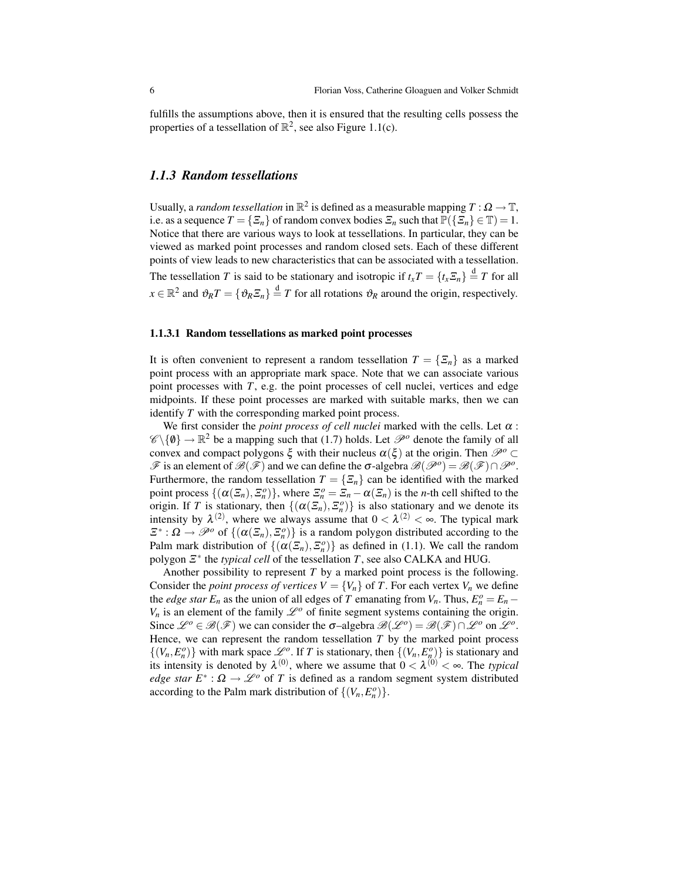fulfills the assumptions above, then it is ensured that the resulting cells possess the properties of a tessellation of  $\mathbb{R}^2$ , see also Figure 1.1(c).

## *1.1.3 Random tessellations*

Usually, a *random tessellation* in  $\mathbb{R}^2$  is defined as a measurable mapping  $T : \Omega \to \mathbb{T}$ , i.e. as a sequence  $T = \{ \Xi_n \}$  of random convex bodies  $\Xi_n$  such that  $\mathbb{P}(\{\Xi_n\} \in \mathbb{T}) = 1$ . Notice that there are various ways to look at tessellations. In particular, they can be viewed as marked point processes and random closed sets. Each of these different points of view leads to new characteristics that can be associated with a tessellation. The tessellation *T* is said to be stationary and isotropic if  $t_xT = \{t_x \Xi_n\} \stackrel{d}{=} T$  for all  $x \in \mathbb{R}^2$  and  $\vartheta_R T = \{ \vartheta_R \Xi_n \} \stackrel{d}{=} T$  for all rotations  $\vartheta_R$  around the origin, respectively.

## 1.1.3.1 Random tessellations as marked point processes

It is often convenient to represent a random tessellation  $T = {\{\overline{\Sigma}_n\}}$  as a marked point process with an appropriate mark space. Note that we can associate various point processes with *T*, e.g. the point processes of cell nuclei, vertices and edge midpoints. If these point processes are marked with suitable marks, then we can identify *T* with the corresponding marked point process.

We first consider the *point process of cell nuclei* marked with the cells. Let  $\alpha$ :  $\mathscr{C}\backslash\{\emptyset\} \to \mathbb{R}^2$  be a mapping such that (1.7) holds. Let  $\mathscr{P}^o$  denote the family of all convex and compact polygons  $\xi$  with their nucleus  $\alpha(\xi)$  at the origin. Then  $\mathcal{P}^o \subset$  $\mathscr F$  is an element of  $\mathscr B(\mathscr F)$  and we can define the  $\sigma$ -algebra  $\mathscr B(\mathscr P^0) = \mathscr B(\mathscr F) \cap \mathscr P^0$ . Furthermore, the random tessellation  $T = \{\Xi_n\}$  can be identified with the marked point process  $\{(\alpha(\mathcal{Z}_n), \mathcal{Z}_n^o)\}\)$ , where  $\mathcal{Z}_n^o = \mathcal{Z}_n - \alpha(\mathcal{Z}_n)$  is the *n*-th cell shifted to the origin. If *T* is stationary, then  $\{ (\alpha(\mathcal{Z}_n), \mathcal{Z}_n^o) \}$  is also stationary and we denote its intensity by  $\lambda^{(2)}$ , where we always assume that  $0 < \lambda^{(2)} < \infty$ . The typical mark  $\mathcal{Z}^*: \Omega \to \mathcal{P}^o$  of  $\{(\alpha(\mathcal{Z}_n), \mathcal{Z}_n^o)\}\$ is a random polygon distributed according to the Palm mark distribution of  $\{(\alpha(\mathcal{Z}_n), \mathcal{Z}_n^o)\}\$ as defined in (1.1). We call the random polygon Ξ ∗ the *typical cell* of the tessellation *T*, see also CALKA and HUG.

Another possibility to represent *T* by a marked point process is the following. Consider the *point process of vertices*  $V = \{V_n\}$  of *T*. For each vertex  $V_n$  we define the *edge star*  $E_n$  as the union of all edges of *T* emanating from  $V_n$ . Thus,  $E_n^o = E_n - E_n$  $V_n$  is an element of the family  $\mathcal{L}^o$  of finite segment systems containing the origin. Since  $\mathcal{L}^o \in \mathcal{B}(\mathcal{F})$  we can consider the  $\sigma$ -algebra  $\mathcal{B}(\mathcal{L}^o) = \mathcal{B}(\mathcal{F}) \cap \mathcal{L}^o$  on  $\mathcal{L}^o$ . Hence, we can represent the random tessellation *T* by the marked point process  $\{(V_n, E_n^o)\}\$  with mark space  $\mathcal{L}^o$ . If *T* is stationary, then  $\{(V_n, E_n^o)\}\$ is stationary and its intensity is denoted by  $\lambda^{(0)}$ , where we assume that  $0 < \lambda^{(0)} < \infty$ . The *typical edge star*  $E^*$ :  $\Omega \to \mathscr{L}^o$  of *T* is defined as a random segment system distributed according to the Palm mark distribution of  $\{(V_n, E_n^o)\}.$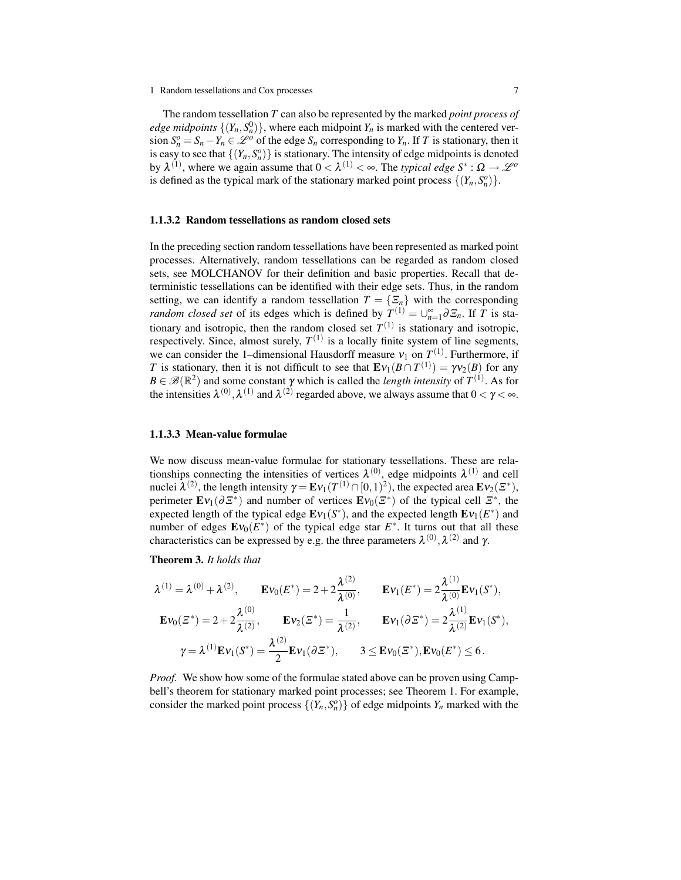The random tessellation *T* can also be represented by the marked *point process of edge midpoints*  $\{(Y_n, S_n^0)\}\$ , where each midpoint  $Y_n$  is marked with the centered version  $S_n^o = S_n - Y_n \in \mathcal{L}^o$  of the edge  $S_n$  corresponding to  $Y_n$ . If *T* is stationary, then it is easy to see that  $\{(Y_n, S_n^o)\}\$ is stationary. The intensity of edge midpoints is denoted by  $\lambda^{(1)}$ , where we again assume that  $0 < \lambda^{(1)} < \infty$ . The *typical edge*  $S^* : \Omega \to \mathcal{L}^o$ is defined as the typical mark of the stationary marked point process  $\{(Y_n, S_n^o)\}.$ 

#### 1.1.3.2 Random tessellations as random closed sets

In the preceding section random tessellations have been represented as marked point processes. Alternatively, random tessellations can be regarded as random closed sets, see MOLCHANOV for their definition and basic properties. Recall that deterministic tessellations can be identified with their edge sets. Thus, in the random setting, we can identify a random tessellation  $T = \{\Xi_n\}$  with the corresponding *random closed set* of its edges which is defined by  $T^{(1)} = \bigcup_{n=1}^{\infty} \partial \mathcal{F}_n$ . If *T* is stationary and isotropic, then the random closed set  $T^{(1)}$  is stationary and isotropic, respectively. Since, almost surely,  $T^{(1)}$  is a locally finite system of line segments, we can consider the 1-dimensional Hausdorff measure  $v_1$  on  $T^{(1)}$ . Furthermore, if *T* is stationary, then it is not difficult to see that  $\mathbf{E}v_1(B \cap T^{(1)}) = \gamma v_2(B)$  for any  $B \in \mathscr{B}(\mathbb{R}^2)$  and some constant  $\gamma$  which is called the *length intensity* of  $T^{(1)}$ . As for the intensities  $\lambda^{(0)}, \lambda^{(1)}$  and  $\lambda^{(2)}$  regarded above, we always assume that  $0 < \gamma < \infty$ .

### 1.1.3.3 Mean-value formulae

We now discuss mean-value formulae for stationary tessellations. These are relationships connecting the intensities of vertices  $\lambda^{(0)}$ , edge midpoints  $\lambda^{(1)}$  and cell nuclei λ<sup>(2)</sup>, the length intensity  $\gamma = \mathbf{E} \nu_1(T^{(1)} \cap [0,1)^2)$ , the expected area  $\mathbf{E} \nu_2(\mathcal{Z}^*),$ perimeter  $\mathbf{E}v_1(\partial \mathbf{\Xi}^*)$  and number of vertices  $\mathbf{E}v_0(\mathbf{\Xi}^*)$  of the typical cell  $\mathbf{\Xi}^*$ , the expected length of the typical edge  $\mathbf{E}v_1(S^*)$ , and the expected length  $\mathbf{E}v_1(E^*)$  and number of edges  $\mathbf{E}v_0(E^*)$  of the typical edge star  $E^*$ . It turns out that all these characteristics can be expressed by e.g. the three parameters  $\lambda^{(0)}, \lambda^{(2)}$  and γ.

Theorem 3. *It holds that*

$$
\lambda^{(1)} = \lambda^{(0)} + \lambda^{(2)}, \qquad \mathbf{E} \mathbf{v}_0(E^*) = 2 + 2 \frac{\lambda^{(2)}}{\lambda^{(0)}}, \qquad \mathbf{E} \mathbf{v}_1(E^*) = 2 \frac{\lambda^{(1)}}{\lambda^{(0)}} \mathbf{E} \mathbf{v}_1(S^*),
$$

$$
\mathbf{E} \mathbf{v}_0(\Xi^*) = 2 + 2 \frac{\lambda^{(0)}}{\lambda^{(2)}}, \qquad \mathbf{E} \mathbf{v}_2(\Xi^*) = \frac{1}{\lambda^{(2)}}, \qquad \mathbf{E} \mathbf{v}_1(\partial \Xi^*) = 2 \frac{\lambda^{(1)}}{\lambda^{(2)}} \mathbf{E} \mathbf{v}_1(S^*),
$$

$$
\gamma = \lambda^{(1)} \mathbf{E} \mathbf{v}_1(S^*) = \frac{\lambda^{(2)}}{2} \mathbf{E} \mathbf{v}_1(\partial \Xi^*), \qquad 3 \leq \mathbf{E} \mathbf{v}_0(\Xi^*), \mathbf{E} \mathbf{v}_0(E^*) \leq 6.
$$

*Proof.* We show how some of the formulae stated above can be proven using Campbell's theorem for stationary marked point processes; see Theorem 1. For example, consider the marked point process  $\{(Y_n, S_n^o)\}\$  of edge midpoints  $Y_n$  marked with the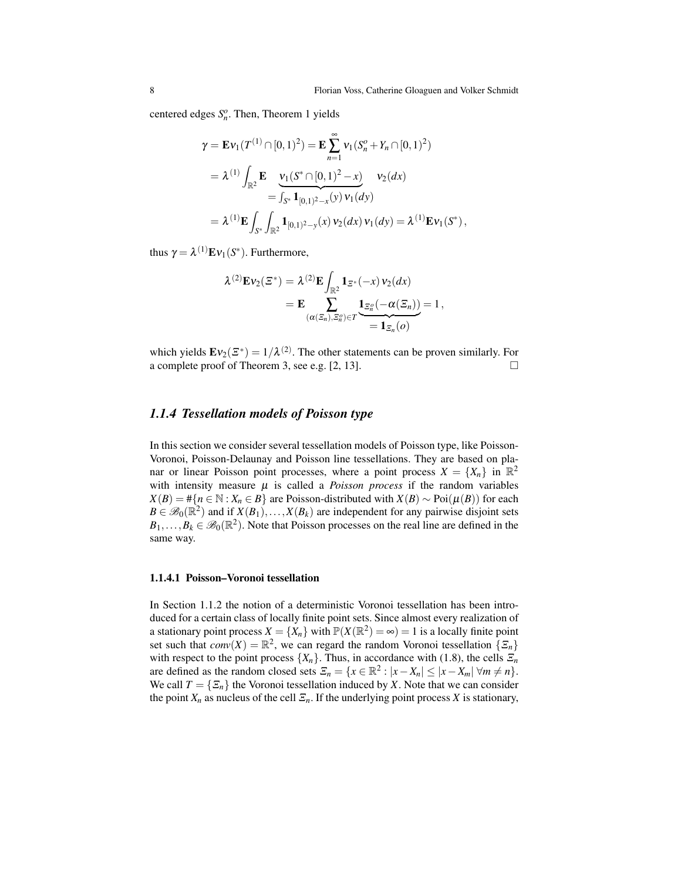centered edges  $S_n^o$ . Then, Theorem 1 yields

$$
\gamma = \mathbf{E} \mathbf{v}_1(T^{(1)} \cap [0, 1)^2) = \mathbf{E} \sum_{n=1}^{\infty} \mathbf{v}_1(S_n^o + Y_n \cap [0, 1)^2)
$$
  
=  $\lambda^{(1)} \int_{\mathbb{R}^2} \mathbf{E} \underbrace{\mathbf{v}_1(S^* \cap [0, 1)^2 - x)}_{= \int_{S^*} \mathbf{1}_{[0, 1)^2 - x}(y) \mathbf{v}_1(dy)} \mathbf{v}_2(dx)$   
=  $\lambda^{(1)} \mathbf{E} \int_{S^*} \int_{\mathbb{R}^2} \mathbf{1}_{[0, 1)^2 - y}(x) \mathbf{v}_2(dx) \mathbf{v}_1(dy) = \lambda^{(1)} \mathbf{E} \mathbf{v}_1(S^*),$ 

thus  $\gamma = \lambda^{(1)} \mathbf{E} \mathbf{v}_1(S^*)$ . Furthermore,

$$
\lambda^{(2)}\mathbf{E}\mathbf{v}_2(\mathbf{\Xi}^*) = \lambda^{(2)}\mathbf{E} \int_{\mathbb{R}^2} \mathbf{1}_{\mathbf{\Xi}^*}(-x) \mathbf{v}_2(dx)
$$
  
= 
$$
\mathbf{E} \sum_{(\alpha(\mathbf{\Xi}_n), \mathbf{\Xi}_n^o) \in T} \underbrace{\mathbf{1}_{\mathbf{\Xi}_n^o}(-\alpha(\mathbf{\Xi}_n))}_{= \mathbf{1}_{\mathbf{\Xi}_n}(o)} = 1,
$$

which yields  $\mathbf{E}v_2(\mathcal{Z}^*) = 1/\lambda^{(2)}$ . The other statements can be proven similarly. For a complete proof of Theorem 3, see e.g.  $[2, 13]$ .

## *1.1.4 Tessellation models of Poisson type*

In this section we consider several tessellation models of Poisson type, like Poisson-Voronoi, Poisson-Delaunay and Poisson line tessellations. They are based on planar or linear Poisson point processes, where a point process  $X = \{X_n\}$  in  $\mathbb{R}^2$ with intensity measure  $\mu$  is called a *Poisson process* if the random variables *X*(*B*) = #{*n* ∈ N : *X<sub>n</sub>* ∈ *B*} are Poisson-distributed with *X*(*B*) ∼ Poi( $\mu$ (*B*)) for each  $B \in \mathscr{B}_0(\mathbb{R}^2)$  and if  $X(B_1),...,X(B_k)$  are independent for any pairwise disjoint sets  $B_1, \ldots, B_k \in \mathscr{B}_0(\mathbb{R}^2)$ . Note that Poisson processes on the real line are defined in the same way.

#### 1.1.4.1 Poisson–Voronoi tessellation

In Section 1.1.2 the notion of a deterministic Voronoi tessellation has been introduced for a certain class of locally finite point sets. Since almost every realization of a stationary point process  $X = \{X_n\}$  with  $\mathbb{P}(X(\mathbb{R}^2) = \infty) = 1$  is a locally finite point set such that  $conv(X) = \mathbb{R}^2$ , we can regard the random Voronoi tessellation  $\{\mathcal{Z}_n\}$ with respect to the point process  $\{X_n\}$ . Thus, in accordance with (1.8), the cells  $\mathcal{Z}_n$ are defined as the random closed sets  $\mathcal{Z}_n = \{x \in \mathbb{R}^2 : |x - X_n| \leq |x - X_m| \forall m \neq n\}.$ We call  $T = \{\overline{\Sigma}_n\}$  the Voronoi tessellation induced by *X*. Note that we can consider the point  $X_n$  as nucleus of the cell  $\mathcal{Z}_n$ . If the underlying point process X is stationary,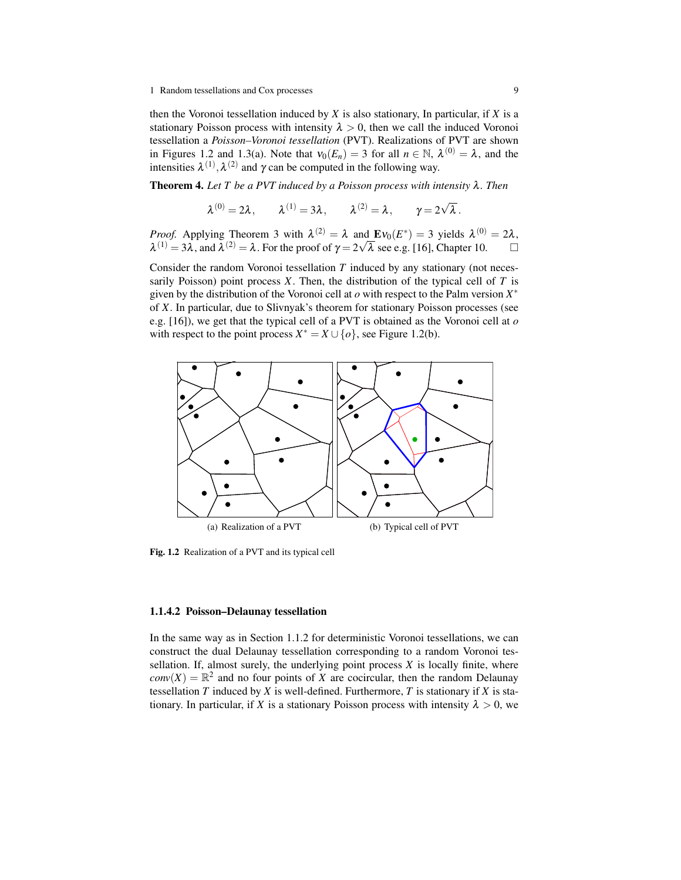then the Voronoi tessellation induced by *X* is also stationary, In particular, if *X* is a stationary Poisson process with intensity  $\lambda > 0$ , then we call the induced Voronoi tessellation a *Poisson–Voronoi tessellation* (PVT). Realizations of PVT are shown in Figures 1.2 and 1.3(a). Note that  $v_0(E_n) = 3$  for all  $n \in \mathbb{N}$ ,  $\lambda^{(0)} = \lambda$ , and the intensities  $\lambda^{(1)}$ ,  $\lambda^{(2)}$  and  $\gamma$  can be computed in the following way.

Theorem 4. *Let T be a PVT induced by a Poisson process with intensity* λ*. Then*

 $\lambda^{(0)} = 2\lambda, \qquad \lambda^{(1)} = 3\lambda, \qquad \lambda^{(2)} = \lambda, \qquad \gamma = 2\sqrt{2}$ λ .

*Proof.* Applying Theorem 3 with  $\lambda^{(2)} = \lambda$  and  $\text{Ev}_0(E^*) = 3$  yields  $\lambda^{(0)} = 2\lambda$ ,  $\lambda^{(1)} = 3\lambda$ , and  $\lambda^{(2)} = \lambda$ . For the proof of  $\gamma = 2\sqrt{\lambda}$  see e.g. [16], Chapter 10.

Consider the random Voronoi tessellation *T* induced by any stationary (not necessarily Poisson) point process  $X$ . Then, the distribution of the typical cell of  $T$  is given by the distribution of the Voronoi cell at *o* with respect to the Palm version *X* ∗ of *X*. In particular, due to Slivnyak's theorem for stationary Poisson processes (see e.g. [16]), we get that the typical cell of a PVT is obtained as the Voronoi cell at *o* with respect to the point process  $X^* = X \cup \{o\}$ , see Figure 1.2(b).



Fig. 1.2 Realization of a PVT and its typical cell

### 1.1.4.2 Poisson–Delaunay tessellation

In the same way as in Section 1.1.2 for deterministic Voronoi tessellations, we can construct the dual Delaunay tessellation corresponding to a random Voronoi tessellation. If, almost surely, the underlying point process  $X$  is locally finite, where  $conv(X) = \mathbb{R}^2$  and no four points of *X* are cocircular, then the random Delaunay tessellation  $T$  induced by  $X$  is well-defined. Furthermore,  $T$  is stationary if  $X$  is stationary. In particular, if *X* is a stationary Poisson process with intensity  $\lambda > 0$ , we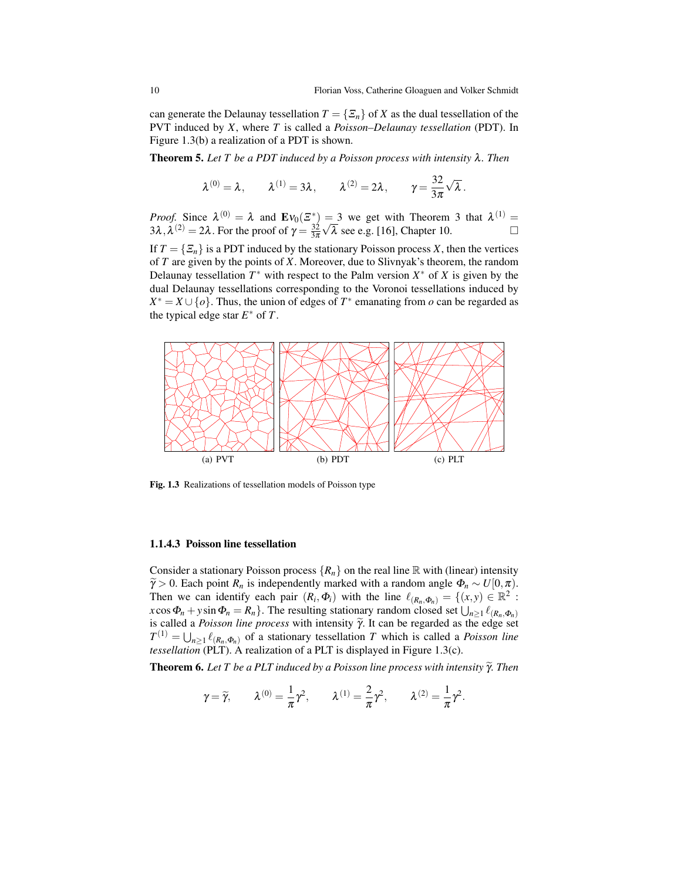can generate the Delaunay tessellation  $T = \{ \Xi_n \}$  of *X* as the dual tessellation of the PVT induced by *X*, where *T* is called a *Poisson–Delaunay tessellation* (PDT). In Figure 1.3(b) a realization of a PDT is shown.

Theorem 5. *Let T be a PDT induced by a Poisson process with intensity* λ*. Then*

$$
\lambda^{(0)} = \lambda, \qquad \lambda^{(1)} = 3\lambda, \qquad \lambda^{(2)} = 2\lambda, \qquad \gamma = \frac{32}{3\pi}\sqrt{\lambda}.
$$

*Proof.* Since  $\lambda^{(0)} = \lambda$  and  $\mathbf{E}v_0(\mathcal{Z}^*) = 3$  we get with Theorem 3 that  $\lambda^{(1)} =$  $3\lambda, \lambda^{(2)} = 2\lambda$ . For the proof of  $\gamma = \frac{32}{3\pi}$ = 3 we get with Theorem 3 that  $\lambda^{(1)} = \sqrt{\lambda}$  see e.g. [16], Chapter 10.

If  $T = \{\Xi_n\}$  is a PDT induced by the stationary Poisson process *X*, then the vertices of *T* are given by the points of *X*. Moreover, due to Slivnyak's theorem, the random Delaunay tessellation  $T^*$  with respect to the Palm version  $X^*$  of  $X$  is given by the dual Delaunay tessellations corresponding to the Voronoi tessellations induced by  $X^* = X \cup \{o\}$ . Thus, the union of edges of  $T^*$  emanating from *o* can be regarded as the typical edge star  $E^*$  of  $T$ .



Fig. 1.3 Realizations of tessellation models of Poisson type

#### 1.1.4.3 Poisson line tessellation

Consider a stationary Poisson process  $\{R_n\}$  on the real line R with (linear) intensity  $\widetilde{\gamma} > 0$ . Each point  $R_n$  is independently marked with a random angle  $\Phi_n \sim U[0, \pi)$ . Then we can identify each pair  $(R_i, \Phi_i)$  with the line  $\ell_{(R_n, \Phi_n)} = \{(x, y) \in \mathbb{R}^2$ .  $x \cos \Phi_n + y \sin \Phi_n = R_n$ . The resulting stationary random closed set  $\bigcup_{n \geq 1} \ell_{(R_n, \Phi_n)}$ is called a *Poisson line process* with intensity  $\widetilde{\gamma}$ . It can be regarded as the edge set  $T^{(1)} = \bigcup_{n \geq 1} \ell_{(R_n, \Phi_n)}$  of a stationary tessellation *T* which is called a *Poisson line tessellation* (PLT). A realization of a PLT is displayed in Figure 1.3(c).

**Theorem 6.** Let T be a PLT induced by a Poisson line process with intensity  $\tilde{\gamma}$ . Then

$$
\gamma = \tilde{\gamma},
$$
\n $\lambda^{(0)} = \frac{1}{\pi} \gamma^2,$ \n $\lambda^{(1)} = \frac{2}{\pi} \gamma^2,$ \n $\lambda^{(2)} = \frac{1}{\pi} \gamma^2.$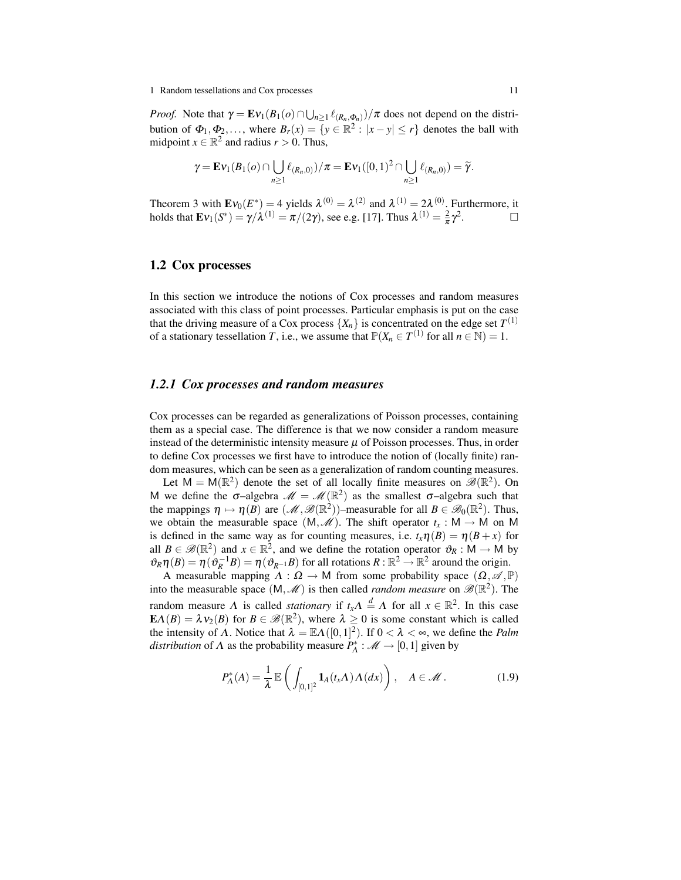*Proof.* Note that  $\gamma = \mathbf{E} \nu_1(B_1(o) \cap \bigcup_{n \geq 1} \ell_{(R_n, \Phi_n)}) / \pi$  does not depend on the distribution of  $\Phi_1, \Phi_2, \ldots$ , where  $B_r(x) = \{y \in \mathbb{R}^2 : |x - y| \le r\}$  denotes the ball with midpoint  $x \in \mathbb{R}^2$  and radius  $r > 0$ . Thus,

$$
\gamma = \mathbf{E} \nu_1(B_1(o) \cap \bigcup_{n \geq 1} \ell_{(R_n,0)})/\pi = \mathbf{E} \nu_1([0,1)^2 \cap \bigcup_{n \geq 1} \ell_{(R_n,0)}) = \widetilde{\gamma}.
$$

Theorem 3 with  $\mathbf{E}v_0(E^*)=4$  yields  $\lambda^{(0)}=\lambda^{(2)}$  and  $\lambda^{(1)}=2\lambda^{(0)}$ . Furthermore, it holds that  $\mathbf{E}v_1(S^*) = \gamma/\lambda^{(1)} = \pi/(2\gamma)$ , see e.g. [17]. Thus  $\lambda^{(1)} = \frac{2}{\pi}\gamma^2$ .

## 1.2 Cox processes

In this section we introduce the notions of Cox processes and random measures associated with this class of point processes. Particular emphasis is put on the case that the driving measure of a Cox process  $\{X_n\}$  is concentrated on the edge set  $T^{(1)}$ of a stationary tessellation *T*, i.e., we assume that  $\mathbb{P}(X_n \in T^{(1)}$  for all  $n \in \mathbb{N}) = 1$ .

## *1.2.1 Cox processes and random measures*

Cox processes can be regarded as generalizations of Poisson processes, containing them as a special case. The difference is that we now consider a random measure instead of the deterministic intensity measure  $\mu$  of Poisson processes. Thus, in order to define Cox processes we first have to introduce the notion of (locally finite) random measures, which can be seen as a generalization of random counting measures.

Let  $M = M(\mathbb{R}^2)$  denote the set of all locally finite measures on  $\mathscr{B}(\mathbb{R}^2)$ . On M we define the  $\sigma$ -algebra  $\mathcal{M} = \mathcal{M}(\mathbb{R}^2)$  as the smallest  $\sigma$ -algebra such that the mappings  $\eta \mapsto \eta(B)$  are  $(\mathcal{M}, \mathcal{B}(\mathbb{R}^2))$ -measurable for all  $B \in \mathcal{B}_0(\mathbb{R}^2)$ . Thus, we obtain the measurable space  $(M, \mathcal{M})$ . The shift operator  $t_x : M \to M$  on M is defined in the same way as for counting measures, i.e.  $t_x \eta(B) = \eta(B+x)$  for all  $B \in \mathscr{B}(\mathbb{R}^2)$  and  $x \in \mathbb{R}^2$ , and we define the rotation operator  $\vartheta_R : M \to M$  by  $\vartheta_R \eta(B) = \eta(\vartheta_R^{-1}B) = \eta(\vartheta_{R^{-1}}B)$  for all rotations  $R : \mathbb{R}^2 \to \mathbb{R}^2$  around the origin.

A measurable mapping  $\Lambda : \Omega \to M$  from some probability space  $(\Omega, \mathscr{A}, \mathbb{P})$ into the measurable space  $(M, \mathcal{M})$  is then called *random measure* on  $\mathscr{B}(\mathbb{R}^2)$ . The random measure  $\Lambda$  is called *stationary* if  $t_x \Lambda \stackrel{d}{=} \Lambda$  for all  $x \in \mathbb{R}^2$ . In this case  $\mathbf{E}\Lambda(B) = \lambda v_2(B)$  for  $B \in \mathcal{B}(\mathbb{R}^2)$ , where  $\lambda \ge 0$  is some constant which is called the intensity of  $\Lambda$ . Notice that  $\lambda = \mathbb{E}\Lambda([0,1]^2)$ . If  $0 < \lambda < \infty$ , we define the *Palm distribution* of  $\Lambda$  as the probability measure  $P_{\Lambda}^* : \mathcal{M} \to [0,1]$  given by

$$
P_{\Lambda}^*(A) = \frac{1}{\lambda} \mathbb{E}\left(\int_{[0,1]^2} \mathbf{1}_A(t_x \Lambda) \Lambda(dx)\right), \quad A \in \mathcal{M}.
$$
 (1.9)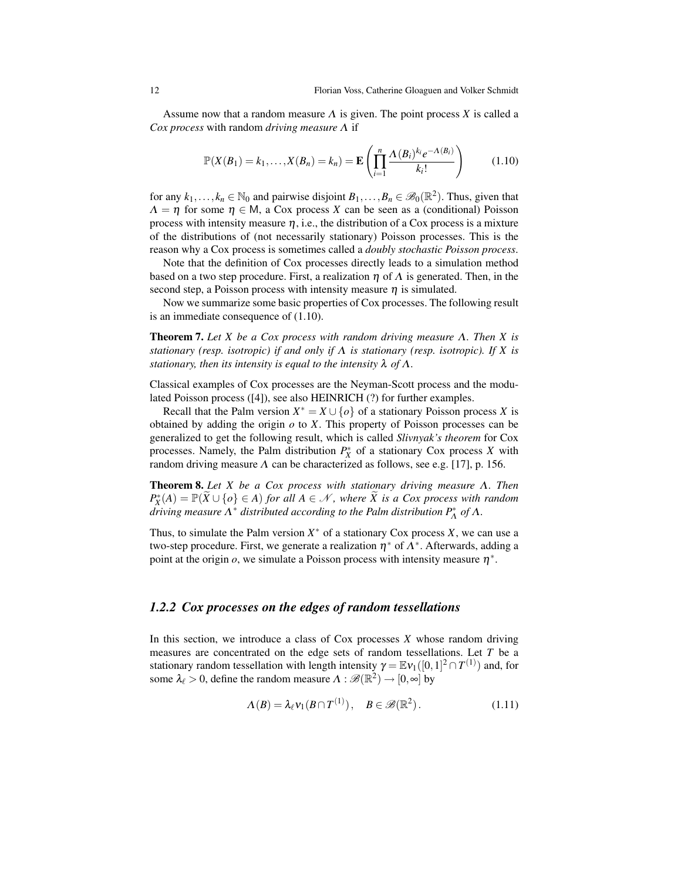Assume now that a random measure Λ is given. The point process *X* is called a *Cox process* with random *driving measure* Λ if

$$
\mathbb{P}(X(B_1)=k_1,\ldots,X(B_n)=k_n)=\mathbf{E}\left(\prod_{i=1}^n\frac{\Lambda(B_i)^{k_i}e^{-\Lambda(B_i)}}{k_i!}\right) \qquad (1.10)
$$

for any  $k_1, \ldots, k_n \in \mathbb{N}_0$  and pairwise disjoint  $B_1, \ldots, B_n \in \mathscr{B}_0(\mathbb{R}^2)$ . Thus, given that  $\Lambda = \eta$  for some  $\eta \in M$ , a Cox process *X* can be seen as a (conditional) Poisson process with intensity measure  $\eta$ , i.e., the distribution of a Cox process is a mixture of the distributions of (not necessarily stationary) Poisson processes. This is the reason why a Cox process is sometimes called a *doubly stochastic Poisson process*.

Note that the definition of Cox processes directly leads to a simulation method based on a two step procedure. First, a realization  $\eta$  of  $\Lambda$  is generated. Then, in the second step, a Poisson process with intensity measure  $\eta$  is simulated.

Now we summarize some basic properties of Cox processes. The following result is an immediate consequence of (1.10).

Theorem 7. *Let X be a Cox process with random driving measure* Λ*. Then X is stationary (resp. isotropic) if and only if* Λ *is stationary (resp. isotropic). If X is stationary, then its intensity is equal to the intensity*  $\lambda$  *of*  $\Lambda$ *.* 

Classical examples of Cox processes are the Neyman-Scott process and the modulated Poisson process ([4]), see also HEINRICH (?) for further examples.

Recall that the Palm version  $X^* = X \cup \{o\}$  of a stationary Poisson process *X* is obtained by adding the origin *o* to *X*. This property of Poisson processes can be generalized to get the following result, which is called *Slivnyak's theorem* for Cox processes. Namely, the Palm distribution  $P_X^*$  of a stationary Cox process *X* with random driving measure  $\Lambda$  can be characterized as follows, see e.g. [17], p. 156.

Theorem 8. *Let X be a Cox process with stationary driving measure* Λ*. Then*  $P_X^*(A) = \mathbb{P}(\widetilde{X} \cup \{o\} \in A)$  *for all A* ∈ N, where  $\widetilde{X}$  *is a Cox process with random driving measure*  $\Lambda^*$  *distributed according to the Palm distribution*  $P_{\Lambda}^*$  *of*  $\Lambda$ .

Thus, to simulate the Palm version  $X^*$  of a stationary Cox process  $X$ , we can use a two-step procedure. First, we generate a realization  $\eta^*$  of  $\Lambda^*$ . Afterwards, adding a point at the origin  $o$ , we simulate a Poisson process with intensity measure  $\eta^*$ .

## *1.2.2 Cox processes on the edges of random tessellations*

In this section, we introduce a class of Cox processes *X* whose random driving measures are concentrated on the edge sets of random tessellations. Let *T* be a stationary random tessellation with length intensity  $\gamma = \mathbb{E} \nu_1([0,1]^2 \cap T^{(1)})$  and, for some  $\lambda_{\ell} > 0$ , define the random measure  $\Lambda : \mathscr{B}(\mathbb{R}^2) \to [0, \infty]$  by

$$
\Lambda(B) = \lambda_{\ell} v_1(B \cap T^{(1)}), \quad B \in \mathscr{B}(\mathbb{R}^2). \tag{1.11}
$$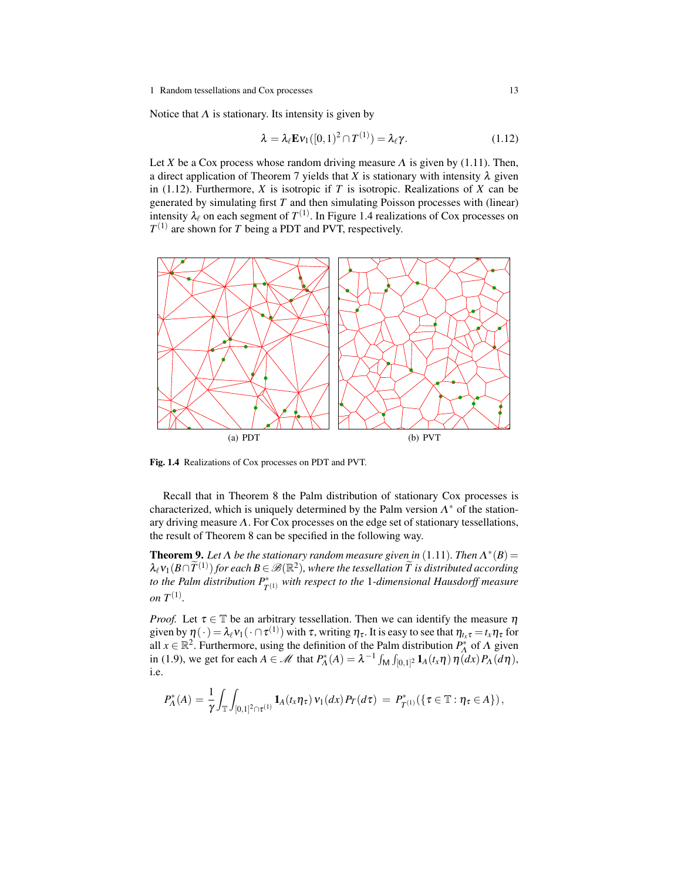Notice that  $\Lambda$  is stationary. Its intensity is given by

$$
\lambda = \lambda_{\ell} \mathbf{E} \mathbf{v}_1([0,1)^2 \cap T^{(1)}) = \lambda_{\ell} \gamma.
$$
 (1.12)

Let *X* be a Cox process whose random driving measure  $\Lambda$  is given by (1.11). Then, a direct application of Theorem 7 yields that *X* is stationary with intensity  $\lambda$  given in (1.12). Furthermore, *X* is isotropic if *T* is isotropic. Realizations of *X* can be generated by simulating first *T* and then simulating Poisson processes with (linear) intensity  $\lambda_{\ell}$  on each segment of  $T^{(1)}$ . In Figure 1.4 realizations of Cox processes on  $T^{(1)}$  are shown for *T* being a PDT and PVT, respectively.



Fig. 1.4 Realizations of Cox processes on PDT and PVT.

Recall that in Theorem 8 the Palm distribution of stationary Cox processes is characterized, which is uniquely determined by the Palm version  $\Lambda^*$  of the stationary driving measure  $\Lambda$ . For Cox processes on the edge set of stationary tessellations, the result of Theorem 8 can be specified in the following way.

**Theorem 9.** Let  $\Lambda$  be the stationary random measure given in (1.11). Then  $\Lambda^*(B)$  =  $\lambda_\ell v_1(B \cap \widetilde{T}^{(1)})$  for each  $B \in \mathscr{B}(\mathbb{R}^2)$ , where the tessellation  $\widetilde{T}$  is distributed according *to the Palm distribution*  $P_{T^{(1)}}^{*}$  *with respect to the* 1*-dimensional Hausdorff measure on*  $T^{(1)}$ *.* 

*Proof.* Let  $\tau \in \mathbb{T}$  be an arbitrary tessellation. Then we can identify the measure  $\eta$ given by  $\eta(\cdot) = \lambda_\ell v_1(\cdot \cap \tau^{(1)})$  with  $\tau$ , writing  $\eta_\tau$ . It is easy to see that  $\eta_{t_x\tau} = t_x \eta_\tau$  for all  $x \in \mathbb{R}^2$ . Furthermore, using the definition of the Palm distribution  $P_A^*$  of  $\Lambda$  given in (1.9), we get for each  $A \in \mathcal{M}$  that  $P_{\Lambda}^*(A) = \lambda^{-1} \int_M \int_{[0,1]^2} \mathbf{1}_A(t_x \eta) \eta(dx) P_{\Lambda}(d\eta)$ , i.e.

$$
P_{\Lambda}^{*}(A) = \frac{1}{\gamma} \int_{\mathbb{T}} \int_{[0,1]^2 \cap \tau^{(1)}} \mathbf{1}_{A}(t_{x} \eta_{\tau}) \nu_{1}(dx) P_{T}(d\tau) = P_{T^{(1)}}^{*}(\{\tau \in \mathbb{T} : \eta_{\tau} \in A\}),
$$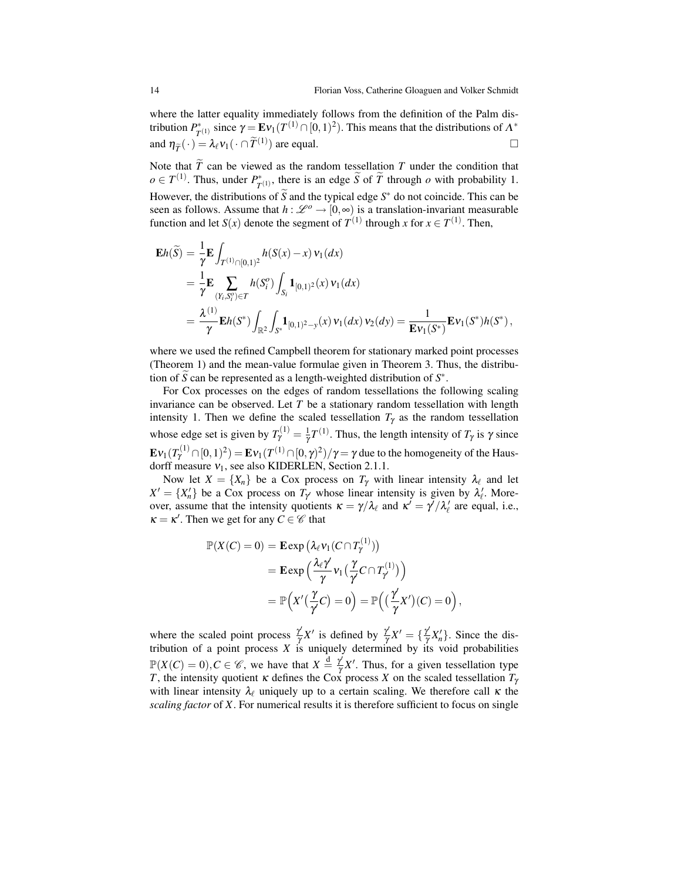where the latter equality immediately follows from the definition of the Palm distribution  $P^*_{\tau}$  $T_{T^{(1)}}$  since  $\gamma = \mathbf{E} \mathbf{v}_1(T^{(1)} \cap [0,1)^2)$ . This means that the distributions of  $\Lambda^*$ and  $\eta_{\tilde{T}}(\cdot) = \lambda_{\ell} v_1(\cdot \cap \tilde{T}^{(1)})$  are equal.

Note that  $\widetilde{T}$  can be viewed as the random tessellation  $T$  under the condition that  $o \in T^{(1)}$ . Thus, under  $P^*$  $T(T^{(1)})$ , there is an edge *S* of *T* through *o* with probability 1. However, the distributions of  $\widetilde{S}$  and the typical edge  $S^*$  do not coincide. This can be seen as follows. Assume that  $h : \mathcal{L}^{\circ} \to [0, \infty)$  is a translation-invariant measurable function and let *S*(*x*) denote the segment of  $T^{(1)}$  through *x* for  $x \in T^{(1)}$ . Then,

$$
\mathbf{E}h(\widetilde{S}) = \frac{1}{\gamma} \mathbf{E} \int_{T^{(1)} \cap [0,1)^2} h(S(x) - x) v_1(dx)
$$
  
\n
$$
= \frac{1}{\gamma} \mathbf{E} \sum_{(Y_i, S_i^o) \in T} h(S_i^o) \int_{S_i} \mathbf{1}_{[0,1)^2}(x) v_1(dx)
$$
  
\n
$$
= \frac{\lambda^{(1)}}{\gamma} \mathbf{E}h(S^*) \int_{\mathbb{R}^2} \int_{S^*} \mathbf{1}_{[0,1)^2 - y}(x) v_1(dx) v_2(dy) = \frac{1}{\mathbf{E}v_1(S^*)} \mathbf{E}v_1(S^*)h(S^*),
$$

where we used the refined Campbell theorem for stationary marked point processes (Theorem 1) and the mean-value formulae given in Theorem 3. Thus, the distribution of  $\widetilde{S}$  can be represented as a length-weighted distribution of  $S^*$ .

For Cox processes on the edges of random tessellations the following scaling invariance can be observed. Let *T* be a stationary random tessellation with length intensity 1. Then we define the scaled tessellation  $T<sub>\gamma</sub>$  as the random tessellation whose edge set is given by  $T_{\gamma}^{(1)} = \frac{1}{\gamma} T^{(1)}$ . Thus, the length intensity of  $T_{\gamma}$  is  $\gamma$  since  $\mathbf{E}\mathbf{\nu}_1(T^{(1)}_Y\cap [0,1)^2)=\mathbf{E}\mathbf{\nu}_1(T^{(1)}\cap [0,\gamma)^2)/\gamma=\gamma$  due to the homogeneity of the Hausdorff measure  $v_1$ , see also KIDERLEN, Section 2.1.1.

Now let  $X = \{X_n\}$  be a Cox process on  $T_\gamma$  with linear intensity  $\lambda_\ell$  and let  $X' = \{X'_n\}$  be a Cox process on  $T_\gamma$  whose linear intensity is given by  $\lambda'_\ell$ . Moreover, assume that the intensity quotients  $\kappa = \gamma/\lambda_{\ell}$  and  $\kappa' = \gamma'/\lambda'_{\ell}$  are equal, i.e.,  $\kappa = \kappa'$ . Then we get for any  $C \in \mathscr{C}$  that

$$
\mathbb{P}(X(C) = 0) = \mathbf{E} \exp (\lambda_{\ell} v_1(C \cap T_{\gamma}^{(1)}))
$$
  
= 
$$
\mathbf{E} \exp \left(\frac{\lambda_{\ell} \gamma'}{\gamma} v_1 \left(\frac{\gamma}{\gamma} C \cap T_{\gamma}^{(1)}\right)\right)
$$
  
= 
$$
\mathbb{P}\left(X'(\frac{\gamma}{\gamma} C) = 0\right) = \mathbb{P}\left((\frac{\gamma'}{\gamma} X')(C) = 0\right),
$$

where the scaled point process  $\frac{\gamma'}{n}$  $\frac{\gamma'}{\gamma}X'$  is defined by  $\frac{\gamma'}{\gamma}$  $\frac{\gamma'}{\gamma}X' = \{\frac{\gamma'}{\gamma}$  $\frac{\gamma}{\gamma}X_{n}^{\prime}$ . Since the distribution of a point process *X* is uniquely determined by its void probabilities  $\mathbb{P}(X(C) = 0), C \in \mathscr{C}$ , we have that  $X \stackrel{d}{=} \frac{\gamma'}{\gamma}$  $\frac{\gamma}{\gamma}X'$ . Thus, for a given tessellation type *T*, the intensity quotient *κ* defines the Cox process *X* on the scaled tessellation  $T_\gamma$ with linear intensity  $\lambda_{\ell}$  uniquely up to a certain scaling. We therefore call  $\kappa$  the *scaling factor* of *X*. For numerical results it is therefore sufficient to focus on single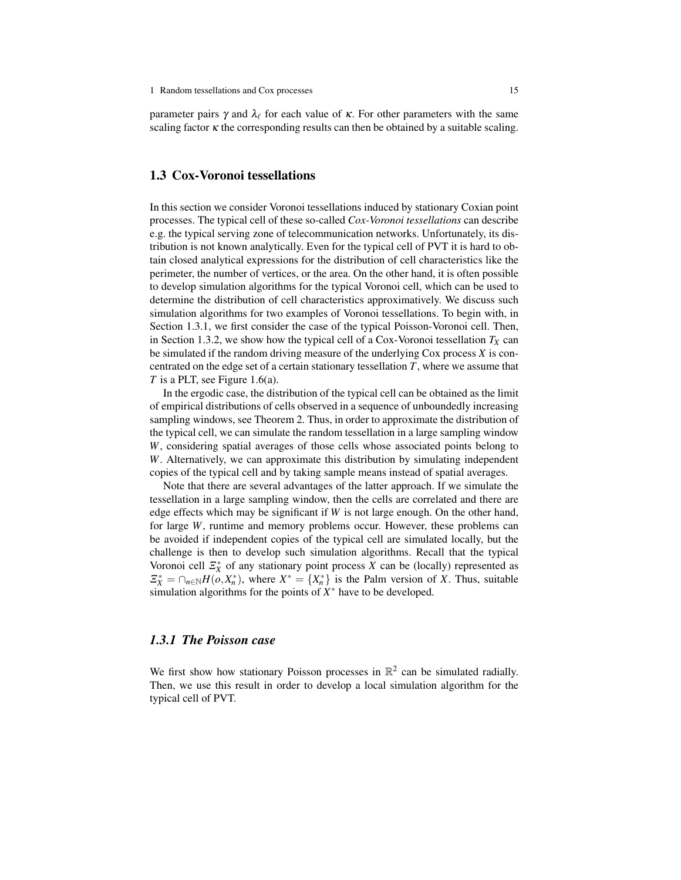parameter pairs  $\gamma$  and  $\lambda_\ell$  for each value of  $\kappa$ . For other parameters with the same scaling factor  $\kappa$  the corresponding results can then be obtained by a suitable scaling.

## 1.3 Cox-Voronoi tessellations

In this section we consider Voronoi tessellations induced by stationary Coxian point processes. The typical cell of these so-called *Cox-Voronoi tessellations* can describe e.g. the typical serving zone of telecommunication networks. Unfortunately, its distribution is not known analytically. Even for the typical cell of PVT it is hard to obtain closed analytical expressions for the distribution of cell characteristics like the perimeter, the number of vertices, or the area. On the other hand, it is often possible to develop simulation algorithms for the typical Voronoi cell, which can be used to determine the distribution of cell characteristics approximatively. We discuss such simulation algorithms for two examples of Voronoi tessellations. To begin with, in Section 1.3.1, we first consider the case of the typical Poisson-Voronoi cell. Then, in Section 1.3.2, we show how the typical cell of a Cox-Voronoi tessellation  $T_X$  can be simulated if the random driving measure of the underlying Cox process *X* is concentrated on the edge set of a certain stationary tessellation *T*, where we assume that *T* is a PLT, see Figure 1.6(a).

In the ergodic case, the distribution of the typical cell can be obtained as the limit of empirical distributions of cells observed in a sequence of unboundedly increasing sampling windows, see Theorem 2. Thus, in order to approximate the distribution of the typical cell, we can simulate the random tessellation in a large sampling window *W*, considering spatial averages of those cells whose associated points belong to *W*. Alternatively, we can approximate this distribution by simulating independent copies of the typical cell and by taking sample means instead of spatial averages.

Note that there are several advantages of the latter approach. If we simulate the tessellation in a large sampling window, then the cells are correlated and there are edge effects which may be significant if *W* is not large enough. On the other hand, for large *W*, runtime and memory problems occur. However, these problems can be avoided if independent copies of the typical cell are simulated locally, but the challenge is then to develop such simulation algorithms. Recall that the typical Voronoi cell  $\mathcal{Z}_X^*$  of any stationary point process *X* can be (locally) represented as  $\mathbb{E}_X^* = \bigcap_{n \in \mathbb{N}} H(o, X_n^*)$ , where  $X^* = \{X_n^*\}$  is the Palm version of *X*. Thus, suitable simulation algorithms for the points of  $X^*$  have to be developed.

### *1.3.1 The Poisson case*

We first show how stationary Poisson processes in  $\mathbb{R}^2$  can be simulated radially. Then, we use this result in order to develop a local simulation algorithm for the typical cell of PVT.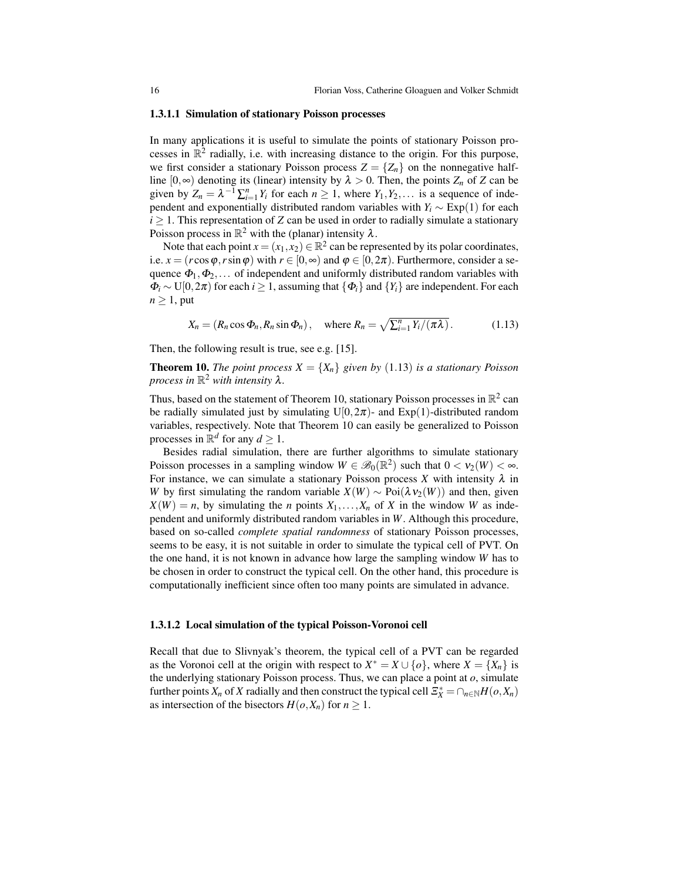#### 1.3.1.1 Simulation of stationary Poisson processes

In many applications it is useful to simulate the points of stationary Poisson processes in  $\mathbb{R}^2$  radially, i.e. with increasing distance to the origin. For this purpose, we first consider a stationary Poisson process  $Z = \{Z_n\}$  on the nonnegative halfline  $[0, \infty)$  denoting its (linear) intensity by  $\lambda > 0$ . Then, the points  $Z_n$  of  $Z$  can be given by  $Z_n = \lambda^{-1} \sum_{i=1}^n Y_i$  for each  $n \ge 1$ , where  $Y_1, Y_2, \ldots$  is a sequence of independent and exponentially distributed random variables with  $Y_i \sim \text{Exp}(1)$  for each  $i \geq 1$ . This representation of *Z* can be used in order to radially simulate a stationary Poisson process in  $\mathbb{R}^2$  with the (planar) intensity  $\lambda$ .

Note that each point  $x = (x_1, x_2) \in \mathbb{R}^2$  can be represented by its polar coordinates, i.e.  $x = (r \cos \varphi, r \sin \varphi)$  with  $r \in [0, \infty)$  and  $\varphi \in [0, 2\pi)$ . Furthermore, consider a sequence  $\Phi_1, \Phi_2, \ldots$  of independent and uniformly distributed random variables with  $\Phi_i \sim U[0, 2\pi)$  for each *i* ≥ 1, assuming that  $\{\Phi_i\}$  and  $\{Y_i\}$  are independent. For each  $n \geq 1$ , put

$$
X_n = (R_n \cos \Phi_n, R_n \sin \Phi_n), \quad \text{where } R_n = \sqrt{\sum_{i=1}^n Y_i / (\pi \lambda)}.
$$
 (1.13)

Then, the following result is true, see e.g. [15].

**Theorem 10.** *The point process*  $X = \{X_n\}$  *given by* (1.13) *is a stationary Poisson process in*  $\mathbb{R}^2$  *with intensity*  $\lambda$ .

Thus, based on the statement of Theorem 10, stationary Poisson processes in  $\mathbb{R}^2$  can be radially simulated just by simulating U[0,2 $\pi$ )- and Exp(1)-distributed random variables, respectively. Note that Theorem 10 can easily be generalized to Poisson processes in  $\mathbb{R}^d$  for any  $d \geq 1$ .

Besides radial simulation, there are further algorithms to simulate stationary Poisson processes in a sampling window  $W \in \mathscr{B}_0(\mathbb{R}^2)$  such that  $0 < v_2(W) < \infty$ . For instance, we can simulate a stationary Poisson process  $X$  with intensity  $\lambda$  in *W* by first simulating the random variable  $X(W) \sim \text{Poi}(\lambda v_2(W))$  and then, given  $X(W) = n$ , by simulating the *n* points  $X_1, \ldots, X_n$  of *X* in the window *W* as independent and uniformly distributed random variables in *W*. Although this procedure, based on so-called *complete spatial randomness* of stationary Poisson processes, seems to be easy, it is not suitable in order to simulate the typical cell of PVT. On the one hand, it is not known in advance how large the sampling window *W* has to be chosen in order to construct the typical cell. On the other hand, this procedure is computationally inefficient since often too many points are simulated in advance.

#### 1.3.1.2 Local simulation of the typical Poisson-Voronoi cell

Recall that due to Slivnyak's theorem, the typical cell of a PVT can be regarded as the Voronoi cell at the origin with respect to  $X^* = X \cup \{o\}$ , where  $X = \{X_n\}$  is the underlying stationary Poisson process. Thus, we can place a point at *o*, simulate further points  $X_n$  of  $X$  radially and then construct the typical cell  $\mathcal{Z}_X^* = \cap_{n \in \mathbb{N}} H(o, X_n)$ as intersection of the bisectors  $H(o, X_n)$  for  $n \geq 1$ .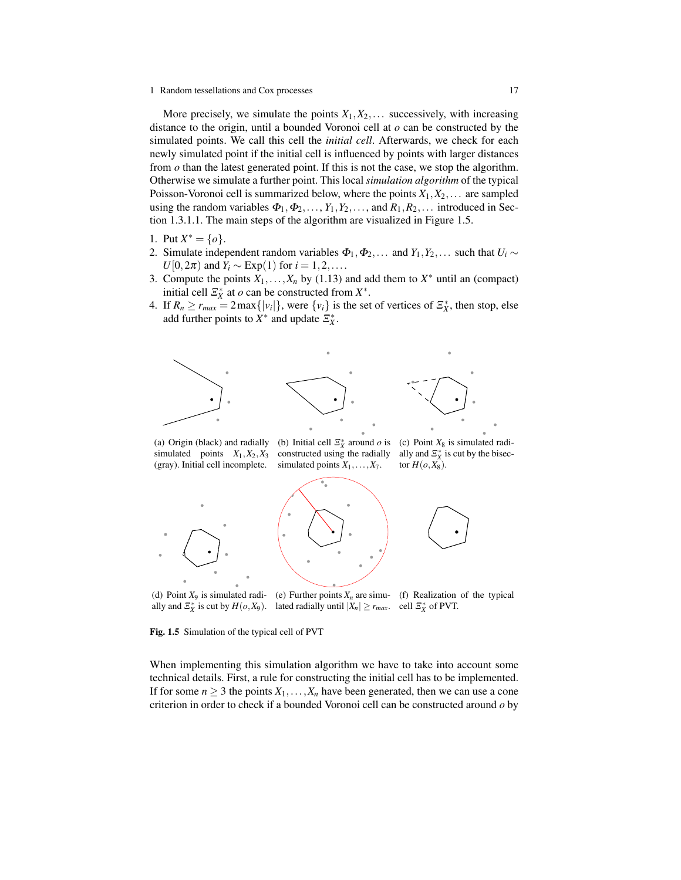#### 1 Random tessellations and Cox processes 17

More precisely, we simulate the points  $X_1, X_2, \ldots$  successively, with increasing distance to the origin, until a bounded Voronoi cell at *o* can be constructed by the simulated points. We call this cell the *initial cell*. Afterwards, we check for each newly simulated point if the initial cell is influenced by points with larger distances from  $\sigma$  than the latest generated point. If this is not the case, we stop the algorithm. Otherwise we simulate a further point. This local *simulation algorithm* of the typical Poisson-Voronoi cell is summarized below, where the points  $X_1, X_2, \ldots$  are sampled using the random variables  $\Phi_1, \Phi_2, \ldots, Y_1, Y_2, \ldots$ , and  $R_1, R_2, \ldots$  introduced in Section 1.3.1.1. The main steps of the algorithm are visualized in Figure 1.5.

- 1. Put  $X^* = \{o\}.$
- 2. Simulate independent random variables  $\Phi_1, \Phi_2, \ldots$  and  $Y_1, Y_2, \ldots$  such that  $U_i \sim$  $U[0,2\pi)$  and  $Y_i \sim \text{Exp}(1)$  for  $i = 1,2,...$ .
- 3. Compute the points  $X_1, \ldots, X_n$  by (1.13) and add them to  $X^*$  until an (compact) initial cell  $\mathcal{Z}_X^*$  at *o* can be constructed from  $X^*$ .
- 4. If  $R_n \ge r_{max} = 2 \max\{|v_i|\}$ , were  $\{v_i\}$  is the set of vertices of  $\mathcal{Z}_X^*$ , then stop, else add further points to  $X^*$  and update  $\Xi_X^*$ .



(a) Origin (black) and radially simulated points  $X_1, X_2, X_3$ (gray). Initial cell incomplete.

(b) Initial cell  $\mathcal{Z}_X^*$  around *o* is constructed using the radially simulated points  $X_1, \ldots, X_7$ .

(c) Point *X*<sup>8</sup> is simulated radially and  $\mathcal{Z}_X^*$  is cut by the bisector  $H(o, X_8)$ .



(d) Point *X*<sup>9</sup> is simulated radially and  $\mathbb{Z}_X^*$  is cut by  $H(o, X_9)$ . lated radially until  $|X_n| \ge r_{max}$ . cell  $\mathbb{Z}_X^*$  of PVT. (e) Further points  $X_n$  are simu- (f) Realization of the typical

Fig. 1.5 Simulation of the typical cell of PVT

When implementing this simulation algorithm we have to take into account some technical details. First, a rule for constructing the initial cell has to be implemented. If for some  $n \geq 3$  the points  $X_1, \ldots, X_n$  have been generated, then we can use a cone criterion in order to check if a bounded Voronoi cell can be constructed around *o* by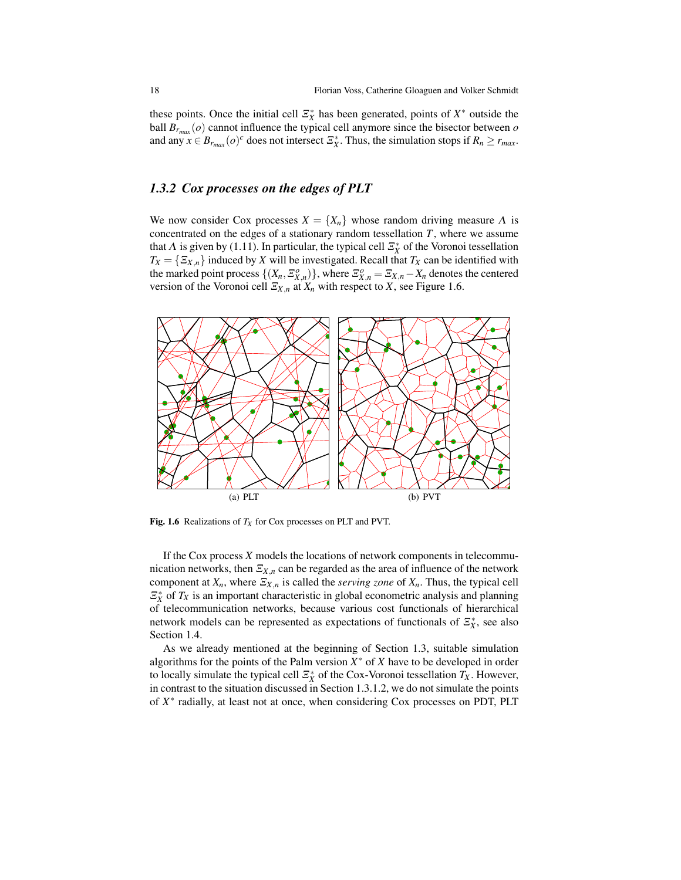these points. Once the initial cell  $\mathcal{Z}_X^*$  has been generated, points of  $X^*$  outside the ball  $B_{r_{max}}(o)$  cannot influence the typical cell anymore since the bisector between  $o$ and any  $x \in B_{r_{max}}(o)^c$  does not intersect  $\mathcal{Z}_X^*$ . Thus, the simulation stops if  $R_n \ge r_{max}$ .

## *1.3.2 Cox processes on the edges of PLT*

We now consider Cox processes  $X = \{X_n\}$  whose random driving measure  $\Lambda$  is concentrated on the edges of a stationary random tessellation *T*, where we assume that  $\Lambda$  is given by (1.11). In particular, the typical cell  $\mathcal{Z}_X^*$  of the Voronoi tessellation  $T_X = \{ \mathcal{Z}_{X,n} \}$  induced by *X* will be investigated. Recall that  $T_X$  can be identified with the marked point process  $\{(X_n, \Xi_{X,n}^o)\}\)$ , where  $\Xi_{X,n}^o = \Xi_{X,n} - X_n$  denotes the centered version of the Voronoi cell  $\Xi_{X,n}$  at  $X_n$  with respect to *X*, see Figure 1.6.



Fig. 1.6 Realizations of *T<sup>X</sup>* for Cox processes on PLT and PVT.

If the Cox process *X* models the locations of network components in telecommunication networks, then  $\mathcal{Z}_{X,n}$  can be regarded as the area of influence of the network component at  $X_n$ , where  $\mathcal{Z}_{X,n}$  is called the *serving zone* of  $X_n$ . Thus, the typical cell  $\mathbb{Z}_X^*$  of  $T_X$  is an important characteristic in global econometric analysis and planning of telecommunication networks, because various cost functionals of hierarchical network models can be represented as expectations of functionals of  $\mathcal{Z}_X^*$ , see also Section 1.4.

As we already mentioned at the beginning of Section 1.3, suitable simulation algorithms for the points of the Palm version  $X^*$  of  $X$  have to be developed in order to locally simulate the typical cell  $\mathcal{Z}_X^*$  of the Cox-Voronoi tessellation  $T_X$ . However, in contrast to the situation discussed in Section 1.3.1.2, we do not simulate the points of *X* ∗ radially, at least not at once, when considering Cox processes on PDT, PLT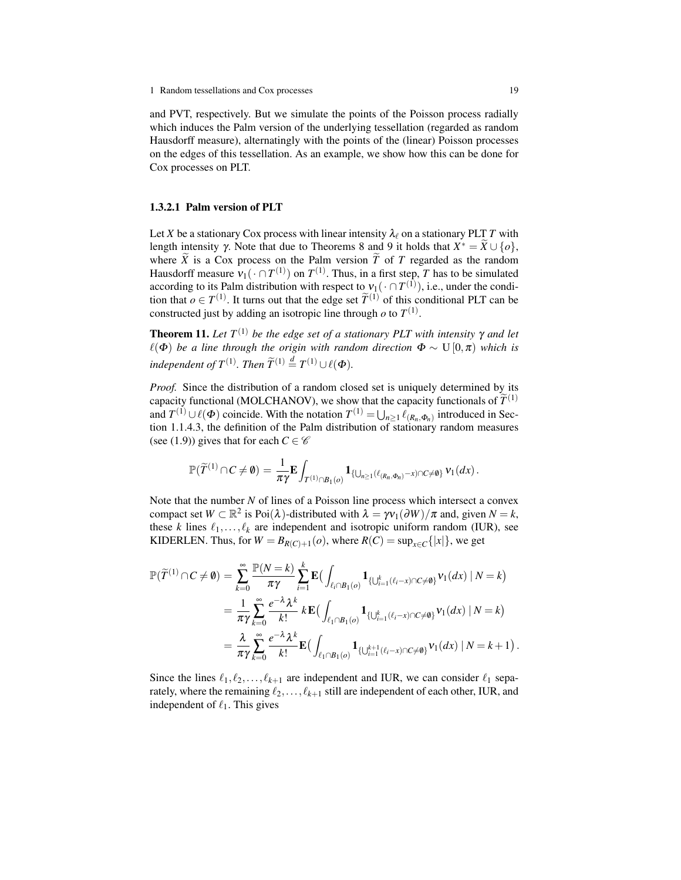and PVT, respectively. But we simulate the points of the Poisson process radially which induces the Palm version of the underlying tessellation (regarded as random Hausdorff measure), alternatingly with the points of the (linear) Poisson processes on the edges of this tessellation. As an example, we show how this can be done for Cox processes on PLT.

#### 1.3.2.1 Palm version of PLT

Let *X* be a stationary Cox process with linear intensity  $\lambda_\ell$  on a stationary PLT *T* with length intensity  $\gamma$ . Note that due to Theorems 8 and 9 it holds that  $X^* = \widetilde{X} \cup \{o\}$ , where  $\overline{X}$  is a Cox process on the Palm version  $\overline{T}$  of  $T$  regarded as the random Hausdorff measure  $v_1(\cdot \cap T^{(1)})$  on  $T^{(1)}$ . Thus, in a first step, T has to be simulated according to its Palm distribution with respect to  $v_1(\cdot \cap T^{(1)})$ , i.e., under the condition that  $o \in T^{(1)}$ . It turns out that the edge set  $\widetilde{T}^{(1)}$  of this conditional PLT can be constructed just by adding an isotropic line through  $\varrho$  to  $T^{(1)}$ .

**Theorem 11.** Let  $T^{(1)}$  be the edge set of a stationary PLT with intensity  $\gamma$  and let  $\ell(\Phi)$  *be a line through the origin with random direction*  $\Phi \sim U[0,\pi)$  *which is independent of*  $T^{(1)}$ *. Then*  $\widetilde{T}^{(1)} \stackrel{d}{=} T^{(1)} \cup \ell(\Phi)$ *.* 

*Proof.* Since the distribution of a random closed set is uniquely determined by its capacity functional (MOLCHANOV), we show that the capacity functionals of  $\widetilde{T}^{(1)}$ and  $T^{(1)} \cup \ell(\Phi)$  coincide. With the notation  $T^{(1)} = \bigcup_{n \geq 1} \ell_{(R_n, \Phi_n)}$  introduced in Section 1.1.4.3, the definition of the Palm distribution of stationary random measures (see (1.9)) gives that for each  $C \in \mathscr{C}$ 

$$
\mathbb{P}(\widetilde{T}^{(1)}\cap C\neq\emptyset)=\frac{1}{\pi\gamma}\mathbf{E}\int_{T^{(1)}\cap B_{1}(o)}\mathbf{1}_{\{\bigcup_{n\geq 1}(\ell_{(R_n,\Phi_n)}-x)\cap C\neq\emptyset\}}\mathsf{v}_{1}(dx).
$$

Note that the number *N* of lines of a Poisson line process which intersect a convex compact set  $W \subset \mathbb{R}^2$  is Poi $(\lambda)$ -distributed with  $\lambda = \gamma v_1(\partial W)/\pi$  and, given  $N = k$ , these *k* lines  $\ell_1, \ldots, \ell_k$  are independent and isotropic uniform random (IUR), see KIDERLEN. Thus, for  $W = B_{R(C)+1}(o)$ , where  $R(C) = \sup_{x \in C} \{ |x| \}$ , we get

$$
\mathbb{P}(\widetilde{T}^{(1)} \cap C \neq \emptyset) = \sum_{k=0}^{\infty} \frac{\mathbb{P}(N=k)}{\pi \gamma} \sum_{i=1}^{k} \mathbf{E} \Big( \int_{\ell_{i} \cap B_{1}(o)} \mathbf{1}_{\{U_{i=1}^{k}(\ell_{i}-x) \cap C \neq \emptyset\}} v_{1}(dx) \mid N=k \Big)
$$
  
\n
$$
= \frac{1}{\pi \gamma} \sum_{k=0}^{\infty} \frac{e^{-\lambda} \lambda^{k}}{k!} k \mathbf{E} \Big( \int_{\ell_{1} \cap B_{1}(o)} \mathbf{1}_{\{U_{i=1}^{k}(\ell_{i}-x) \cap C \neq \emptyset\}} v_{1}(dx) \mid N=k \Big)
$$
  
\n
$$
= \frac{\lambda}{\pi \gamma} \sum_{k=0}^{\infty} \frac{e^{-\lambda} \lambda^{k}}{k!} \mathbf{E} \Big( \int_{\ell_{1} \cap B_{1}(o)} \mathbf{1}_{\{U_{i=1}^{k+1}(\ell_{i}-x) \cap C \neq \emptyset\}} v_{1}(dx) \mid N=k+1 \Big).
$$

Since the lines  $\ell_1, \ell_2, \ldots, \ell_{k+1}$  are independent and IUR, we can consider  $\ell_1$  separately, where the remaining  $\ell_2, \ldots, \ell_{k+1}$  still are independent of each other, IUR, and independent of  $\ell_1$ . This gives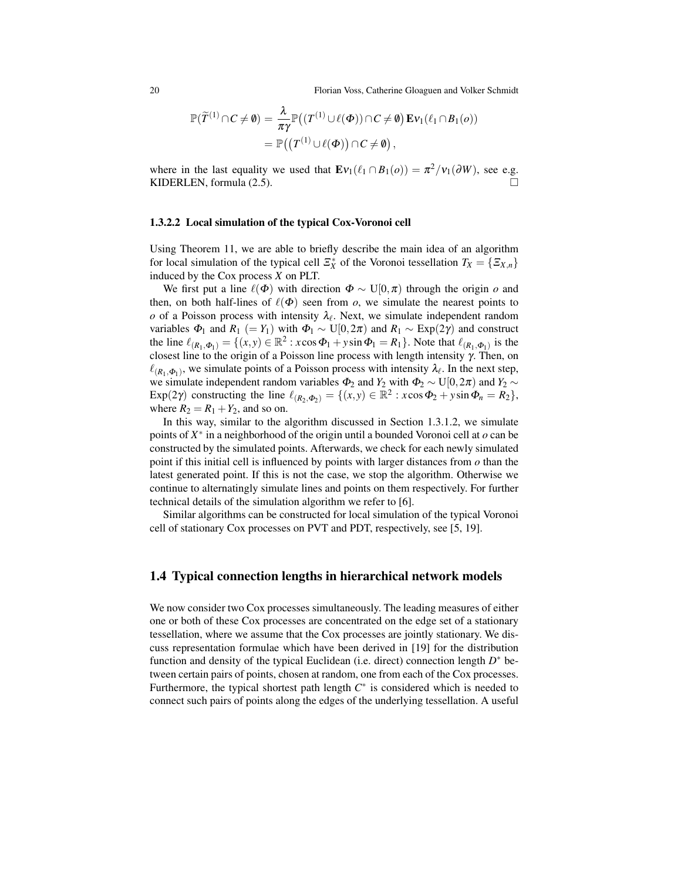20 Florian Voss, Catherine Gloaguen and Volker Schmidt

$$
\mathbb{P}(\widetilde{T}^{(1)} \cap C \neq \emptyset) = \frac{\lambda}{\pi \gamma} \mathbb{P}((T^{(1)} \cup \ell(\Phi)) \cap C \neq \emptyset) \operatorname{Ev}_1(\ell_1 \cap B_1(o))
$$
  
= 
$$
\mathbb{P}((T^{(1)} \cup \ell(\Phi)) \cap C \neq \emptyset),
$$

where in the last equality we used that  $\mathbf{E}v_1(\ell_1 \cap B_1(o)) = \pi^2/v_1(\partial W)$ , see e.g. KIDERLEN, formula (2.5).

#### 1.3.2.2 Local simulation of the typical Cox-Voronoi cell

Using Theorem 11, we are able to briefly describe the main idea of an algorithm for local simulation of the typical cell  $\mathcal{Z}_X^*$  of the Voronoi tessellation  $T_X = \{ \mathcal{Z}_{X,n} \}$ induced by the Cox process *X* on PLT.

We first put a line  $\ell(\Phi)$  with direction  $\Phi \sim U[0, \pi)$  through the origin  $o$  and then, on both half-lines of  $\ell(\Phi)$  seen from *o*, we simulate the nearest points to  $\varrho$  of a Poisson process with intensity  $\lambda_{\ell}$ . Next, we simulate independent random variables  $\Phi_1$  and  $R_1$  (=  $Y_1$ ) with  $\Phi_1 \sim U[0, 2\pi)$  and  $R_1 \sim \text{Exp}(2\gamma)$  and construct the line  $\ell_{(R_1,\Phi_1)} = \{(x,y) \in \mathbb{R}^2 : x \cos \Phi_1 + y \sin \Phi_1 = R_1\}$ . Note that  $\ell_{(R_1,\Phi_1)}$  is the closest line to the origin of a Poisson line process with length intensity γ. Then, on  $\ell_{(R_1, \Phi_1)}$ , we simulate points of a Poisson process with intensity  $\lambda_{\ell}$ . In the next step, we simulate independent random variables  $\Phi_2$  and  $Y_2$  with  $\Phi_2 \sim U[0,2\pi)$  and  $Y_2 \sim$ Exp(2 $\gamma$ ) constructing the line  $\ell_{(R_2, \Phi_2)} = \{(x, y) \in \mathbb{R}^2 : x \cos \Phi_2 + y \sin \Phi_n = R_2\},\$ where  $R_2 = R_1 + Y_2$ , and so on.

In this way, similar to the algorithm discussed in Section 1.3.1.2, we simulate points of *X* ∗ in a neighborhood of the origin until a bounded Voronoi cell at *o* can be constructed by the simulated points. Afterwards, we check for each newly simulated point if this initial cell is influenced by points with larger distances from *o* than the latest generated point. If this is not the case, we stop the algorithm. Otherwise we continue to alternatingly simulate lines and points on them respectively. For further technical details of the simulation algorithm we refer to [6].

Similar algorithms can be constructed for local simulation of the typical Voronoi cell of stationary Cox processes on PVT and PDT, respectively, see [5, 19].

## 1.4 Typical connection lengths in hierarchical network models

We now consider two Cox processes simultaneously. The leading measures of either one or both of these Cox processes are concentrated on the edge set of a stationary tessellation, where we assume that the Cox processes are jointly stationary. We discuss representation formulae which have been derived in [19] for the distribution function and density of the typical Euclidean (i.e. direct) connection length  $D^*$  between certain pairs of points, chosen at random, one from each of the Cox processes. Furthermore, the typical shortest path length *C* ∗ is considered which is needed to connect such pairs of points along the edges of the underlying tessellation. A useful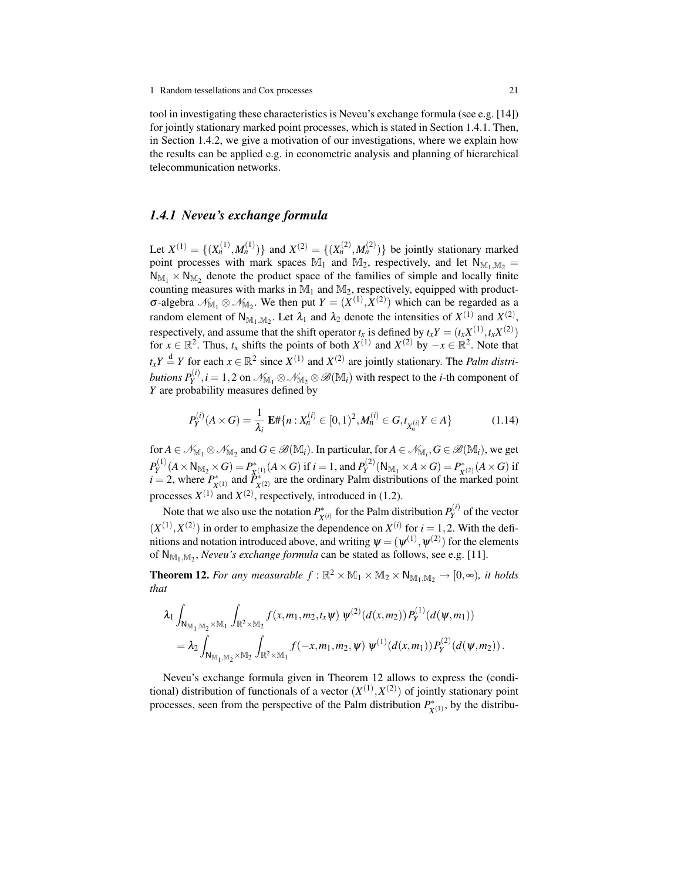tool in investigating these characteristics is Neveu's exchange formula (see e.g. [14]) for jointly stationary marked point processes, which is stated in Section 1.4.1. Then, in Section 1.4.2, we give a motivation of our investigations, where we explain how the results can be applied e.g. in econometric analysis and planning of hierarchical telecommunication networks.

## *1.4.1 Neveu's exchange formula*

Let  $X^{(1)} = \{(X_n^{(1)}, M_n^{(1)})\}$  and  $X^{(2)} = \{(X_n^{(2)}, M_n^{(2)})\}$  be jointly stationary marked point processes with mark spaces  $\mathbb{M}_1$  and  $\mathbb{M}_2$ , respectively, and let  $N_{\mathbb{M}_1,\mathbb{M}_2}$  $N_{\mathbb{M}_1} \times N_{\mathbb{M}_2}$  denote the product space of the families of simple and locally finite counting measures with marks in  $\mathbb{M}_1$  and  $\mathbb{M}_2$ , respectively, equipped with product- $\sigma$ -algebra  $\mathcal{N}_{M_1} \otimes \mathcal{N}_{M_2}$ . We then put  $Y = (X^{(1)}, X^{(2)})$  which can be regarded as a random element of  $N_{M_1,M_2}$ . Let  $\lambda_1$  and  $\lambda_2$  denote the intensities of  $X^{(1)}$  and  $X^{(2)}$ , respectively, and assume that the shift operator  $t_x$  is defined by  $t_x Y = (t_x X^{(1)}, t_x X^{(2)})$ for  $x \in \mathbb{R}^2$ . Thus,  $t_x$  shifts the points of both  $X^{(1)}$  and  $X^{(2)}$  by  $-x \in \mathbb{R}^2$ . Note that  $t_x Y \stackrel{d}{=} Y$  for each  $x \in \mathbb{R}^2$  since  $X^{(1)}$  and  $X^{(2)}$  are jointly stationary. The *Palm distributions*  $P_Y^{(i)}, i=1,2$  *on*  $\mathscr{N}_{\mathbb{M}_1}\otimes\mathscr{N}_{\mathbb{M}_2}\otimes\mathscr{B}(\mathbb{M}_i)$  *with respect to the <i>i*-th component of *Y* are probability measures defined by

$$
P_Y^{(i)}(A \times G) = \frac{1}{\lambda_i} \mathbf{E} \# \{ n : X_n^{(i)} \in [0,1)^2, M_n^{(i)} \in G, t_{X_n^{(i)}} Y \in A \}
$$
(1.14)

for  $A \in \mathcal{N}_{\mathbb{M}_1} \otimes \mathcal{N}_{\mathbb{M}_2}$  and  $G \in \mathscr{B}(\mathbb{M}_i)$ . In particular, for  $A \in \mathcal{N}_{\mathbb{M}_i}$ ,  $G \in \mathscr{B}(\mathbb{M}_i)$ , we get  $P_Y^{(1)}$  $P_Y^{(1)}(A\times \mathsf{N}_{\mathbb{M}_2}\times G)=P_X^*$  $\chi^{(1)}(A \times G)$  if  $i = 1$ , and  $P_Y^{(2)}$  $P_Y^{(2)}(N_{\mathbb{M}_1}\times A\times G)=P_X^*$  $\chi^*(2)$   $(A \times G)$  if  $i = 2$ , where  $P_v^*$  $\hat{P}_X^*(1)$  and  $\hat{P}_X^*$  $X^{(2)}$  are the ordinary Palm distributions of the marked point processes  $X^{(1)}$  and  $X^{(2)}$ , respectively, introduced in (1.2).

Note that we also use the notation  $P_v^*$  $\chi^{(i)}$  for the Palm distribution  $P_Y^{(i)}$  $Y<sup>(t)</sup>$  of the vector  $(X^{(1)}, X^{(2)})$  in order to emphasize the dependence on  $X^{(i)}$  for  $i = 1, 2$ . With the definitions and notation introduced above, and writing  $\pmb{\psi} = (\pmb{\psi}^{(1)}, \pmb{\psi}^{(2)})$  for the elements of  $N_{M_1,M_2}$ , *Neveu's exchange formula* can be stated as follows, see e.g. [11].

**Theorem 12.** For any measurable  $f : \mathbb{R}^2 \times \mathbb{M}_1 \times \mathbb{M}_2 \times \mathbb{N}_{\mathbb{M}_1, \mathbb{M}_2} \to [0, \infty)$ , it holds *that*

$$
\lambda_1 \int_{N_{\mathbb{M}_1, \mathbb{M}_2} \times \mathbb{M}_1} \int_{\mathbb{R}^2 \times \mathbb{M}_2} f(x, m_1, m_2, t_x \psi) \ \psi^{(2)}(d(x, m_2)) P_Y^{(1)}(d(\psi, m_1))
$$
  
=  $\lambda_2 \int_{N_{\mathbb{M}_1, \mathbb{M}_2} \times \mathbb{M}_2} \int_{\mathbb{R}^2 \times \mathbb{M}_1} f(-x, m_1, m_2, \psi) \ \psi^{(1)}(d(x, m_1)) P_Y^{(2)}(d(\psi, m_2)).$ 

Neveu's exchange formula given in Theorem 12 allows to express the (conditional) distribution of functionals of a vector  $(X^{(1)}, X^{(2)})$  of jointly stationary point processes, seen from the perspective of the Palm distribution  $P_{\rm v}^*$  $\chi^{(1)}(X^{(1)})$ , by the distribu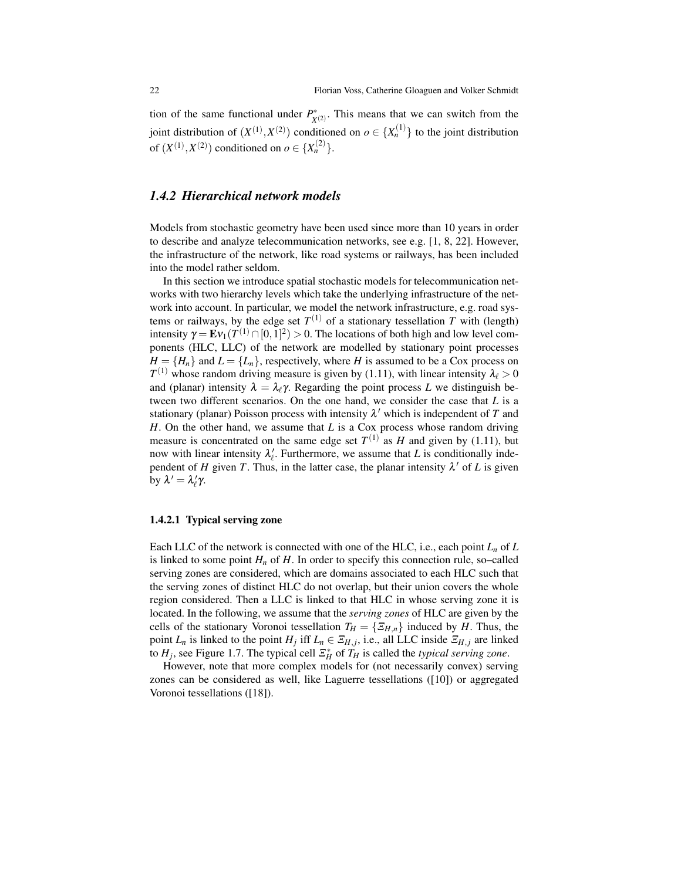tion of the same functional under  $P_v^*$  $X^{(2)}$ . This means that we can switch from the joint distribution of  $(X^{(1)}, X^{(2)})$  conditioned on  $o \in \{X_n^{(1)}\}$  to the joint distribution of  $(X^{(1)}, X^{(2)})$  conditioned on  $o \in \{X_n^{(2)}\}$ .

### *1.4.2 Hierarchical network models*

Models from stochastic geometry have been used since more than 10 years in order to describe and analyze telecommunication networks, see e.g. [1, 8, 22]. However, the infrastructure of the network, like road systems or railways, has been included into the model rather seldom.

In this section we introduce spatial stochastic models for telecommunication networks with two hierarchy levels which take the underlying infrastructure of the network into account. In particular, we model the network infrastructure, e.g. road systems or railways, by the edge set  $T^{(1)}$  of a stationary tessellation *T* with (length) intensity  $\gamma = \mathbf{E} \nu_1(T^{(1)} \cap [0,1]^2) > 0$ . The locations of both high and low level components (HLC, LLC) of the network are modelled by stationary point processes  $H = \{H_n\}$  and  $L = \{L_n\}$ , respectively, where *H* is assumed to be a Cox process on  $T^{(1)}$  whose random driving measure is given by (1.11), with linear intensity  $\lambda_{\ell} > 0$ and (planar) intensity  $\lambda = \lambda_\ell \gamma$ . Regarding the point process *L* we distinguish between two different scenarios. On the one hand, we consider the case that *L* is a stationary (planar) Poisson process with intensity  $\lambda'$  which is independent of *T* and *H*. On the other hand, we assume that *L* is a Cox process whose random driving measure is concentrated on the same edge set  $T^{(1)}$  as *H* and given by (1.11), but now with linear intensity  $\lambda_{\ell}$ . Furthermore, we assume that *L* is conditionally independent of *H* given *T*. Thus, in the latter case, the planar intensity  $\lambda'$  of *L* is given by  $\lambda' = \lambda'_{\ell} \gamma$ .

#### 1.4.2.1 Typical serving zone

Each LLC of the network is connected with one of the HLC, i.e., each point  $L_n$  of  $L$ is linked to some point  $H_n$  of  $H$ . In order to specify this connection rule, so–called serving zones are considered, which are domains associated to each HLC such that the serving zones of distinct HLC do not overlap, but their union covers the whole region considered. Then a LLC is linked to that HLC in whose serving zone it is located. In the following, we assume that the *serving zones* of HLC are given by the cells of the stationary Voronoi tessellation  $T_H = \{ \Xi_{H,n} \}$  induced by *H*. Thus, the point *L<sub>n</sub>* is linked to the point *H<sub>j</sub>* iff *L<sub>n</sub>* ∈  $\Xi_{H,j}$ , i.e., all LLC inside  $\Xi_{H,j}$  are linked to  $H_j$ , see Figure 1.7. The typical cell  $\mathbb{E}_H^*$  of  $T_H$  is called the *typical serving zone*.

However, note that more complex models for (not necessarily convex) serving zones can be considered as well, like Laguerre tessellations ([10]) or aggregated Voronoi tessellations ([18]).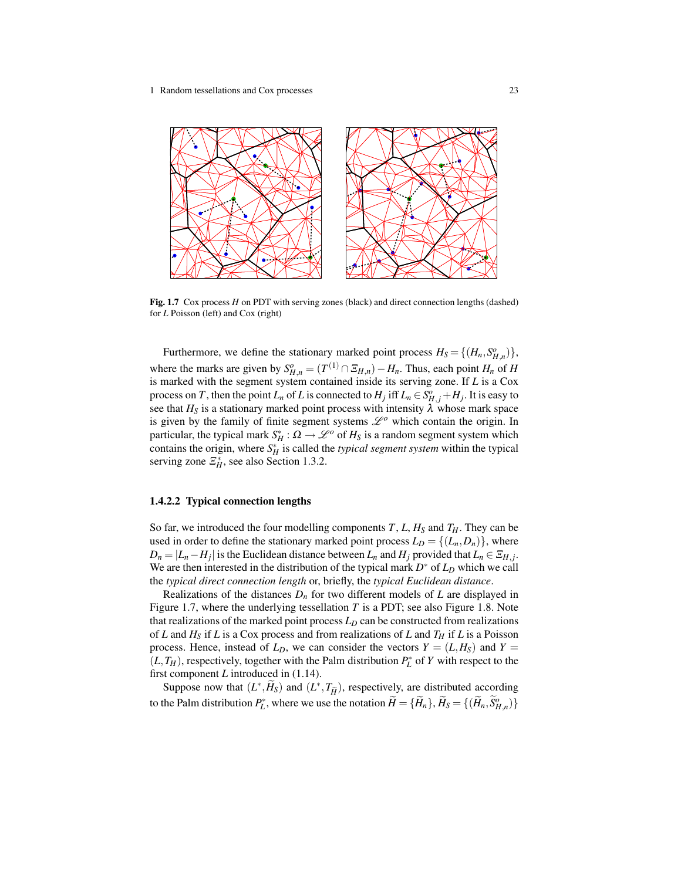

Fig. 1.7 Cox process *H* on PDT with serving zones (black) and direct connection lengths (dashed) for *L* Poisson (left) and Cox (right)

Furthermore, we define the stationary marked point process  $H_S = \{(H_n, S_{H,n}^o)\},$ where the marks are given by  $S_{H,n}^o = (T^{(1)} \cap \Xi_{H,n}) - H_n$ . Thus, each point  $H_n$  of  $H$ is marked with the segment system contained inside its serving zone. If *L* is a Cox process on *T*, then the point  $L_n$  of *L* is connected to  $H_j$  iff  $L_n \in S_{H,j}^o + H_j$ . It is easy to see that  $H_S$  is a stationary marked point process with intensity  $\lambda$  whose mark space is given by the family of finite segment systems  $\mathcal{L}^o$  which contain the origin. In particular, the typical mark  $S_H^*$  :  $\Omega \to \mathscr{L}^o$  of  $H_S$  is a random segment system which contains the origin, where  $S_H^*$  is called the *typical segment system* within the typical serving zone  $\mathcal{Z}_H^*$ , see also Section 1.3.2.

### 1.4.2.2 Typical connection lengths

So far, we introduced the four modelling components  $T$ ,  $L$ ,  $H<sub>S</sub>$  and  $T<sub>H</sub>$ . They can be used in order to define the stationary marked point process  $L_D = \{(L_n, D_n)\}\,$ , where  $D_n = |L_n - H_j|$  is the Euclidean distance between  $L_n$  and  $H_j$  provided that  $L_n \in \mathcal{Z}_{H,j}$ . We are then interested in the distribution of the typical mark *D* <sup>∗</sup> of *L<sup>D</sup>* which we call the *typical direct connection length* or, briefly, the *typical Euclidean distance*.

Realizations of the distances  $D_n$  for two different models of  $L$  are displayed in Figure 1.7, where the underlying tessellation *T* is a PDT; see also Figure 1.8. Note that realizations of the marked point process  $L<sub>D</sub>$  can be constructed from realizations of *L* and  $H_S$  if *L* is a Cox process and from realizations of *L* and  $T_H$  if *L* is a Poisson process. Hence, instead of  $L<sub>D</sub>$ , we can consider the vectors  $Y = (L, H<sub>S</sub>)$  and  $Y =$  $(L, T_H)$ , respectively, together with the Palm distribution  $P_L^*$  of *Y* with respect to the first component *L* introduced in (1.14).

Suppose now that  $(L^*, \widetilde{H}_S)$  and  $(L^*, T_{\widetilde{H}})$ , respectively, are distributed according to the Palm distribution  $P_L^*$ , where we use the notation  $\widetilde{H} = \{\widetilde{H}_n\}, \widetilde{H}_S = \{(\widetilde{H}_n, \widetilde{S}_{H,n}^o)\}\$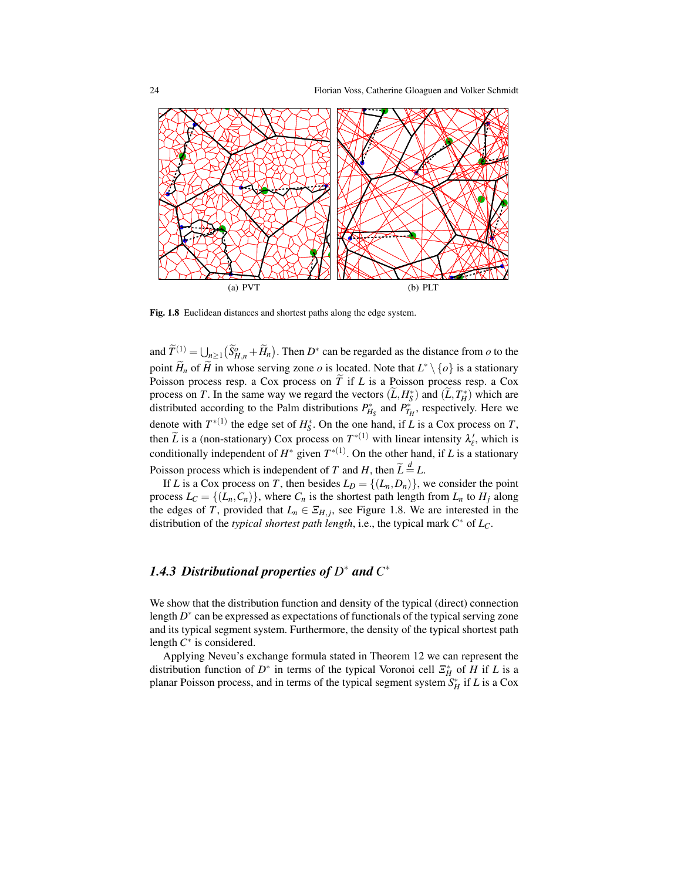

Fig. 1.8 Euclidean distances and shortest paths along the edge system.

and  $\widetilde{T}^{(1)} = \bigcup_{n \geq 1} (\widetilde{S}_{H,n}^o + \widetilde{H}_n)$ . Then  $D^*$  can be regarded as the distance from *o* to the point  $\widetilde{H}_n$  of  $\widetilde{H}$  in whose serving zone *o* is located. Note that  $L^* \setminus \{o\}$  is a stationary Poisson process resp. a Cox process on  $\tilde{T}$  if *L* is a Poisson process resp. a Cox process on *T*. In the same way we regard the vectors  $(\widetilde{L}, H_s^*)$  and  $(\widetilde{L}, T_H^*)$  which are distributed according to the Palm distributions  $P_{H_S}^*$  and  $P_{T_H}^*$ , respectively. Here we denote with  $T^{*(1)}$  the edge set of  $H_S^*$ . On the one hand, if *L* is a Cox process on *T*, then  $\tilde{L}$  is a (non-stationary) Cox process on  $T^{*(1)}$  with linear intensity  $\lambda'_l$ , which is conditionally independent of  $H^*$  given  $T^{*(1)}$ . On the other hand, if *L* is a stationary Poisson process which is independent of *T* and *H*, then  $\widetilde{L} \stackrel{d}{=} L$ .

If *L* is a Cox process on *T*, then besides  $L_D = \{(L_n, D_n)\}\)$ , we consider the point process  $L_C = \{(L_n, C_n)\}\$ , where  $C_n$  is the shortest path length from  $L_n$  to  $H_i$  along the edges of *T*, provided that  $L_n \in \mathcal{Z}_{H,j}$ , see Figure 1.8. We are interested in the distribution of the *typical shortest path length*, i.e., the typical mark *C* <sup>∗</sup> of *LC*.

# *1.4.3 Distributional properties of D* <sup>∗</sup> *and C* ∗

We show that the distribution function and density of the typical (direct) connection length  $D^*$  can be expressed as expectations of functionals of the typical serving zone and its typical segment system. Furthermore, the density of the typical shortest path length  $C^*$  is considered.

Applying Neveu's exchange formula stated in Theorem 12 we can represent the distribution function of  $D^*$  in terms of the typical Voronoi cell  $\mathcal{Z}^*_H$  of *H* if *L* is a planar Poisson process, and in terms of the typical segment system  $S_H^*$  if *L* is a Cox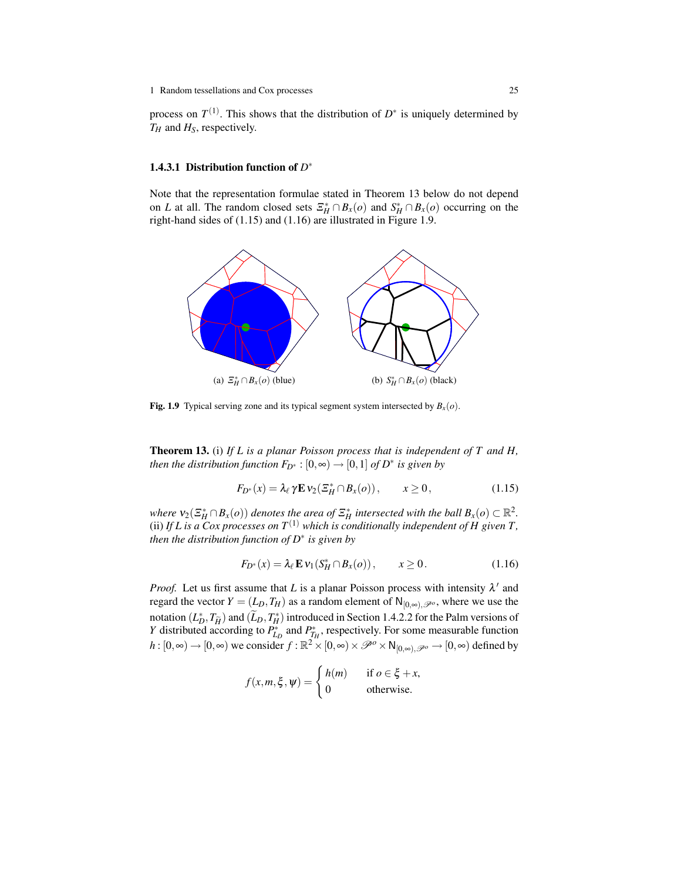process on  $T^{(1)}$ . This shows that the distribution of  $D^*$  is uniquely determined by *T<sup>H</sup>* and *HS*, respectively.

## 1.4.3.1 Distribution function of  $D^*$

Note that the representation formulae stated in Theorem 13 below do not depend on *L* at all. The random closed sets  $\mathcal{Z}_{H}^* \cap B_x(o)$  and  $S_H^* \cap B_x(o)$  occurring on the right-hand sides of (1.15) and (1.16) are illustrated in Figure 1.9.



**Fig. 1.9** Typical serving zone and its typical segment system intersected by  $B_x(o)$ .

Theorem 13. (i) *If L is a planar Poisson process that is independent of T and H, then the distribution function*  $F_{D^*}: [0, \infty) \to [0, 1]$  *of*  $D^*$  *is given by* 

$$
F_{D^*}(x) = \lambda_\ell \gamma \mathbf{E} \nu_2(\mathcal{Z}_H^* \cap B_x(o)), \qquad x \ge 0,
$$
\n(1.15)

*where*  $v_2(\mathcal{Z}_H^* \cap B_x(o))$  *denotes the area of*  $\mathcal{Z}_H^*$  *intersected with the ball*  $B_x(o) \subset \mathbb{R}^2$ . (ii) If L is a Cox processes on  $T^{(1)}$  which is conditionally independent of H given T, *then the distribution function of D*<sup>∗</sup> *is given by*

$$
F_{D^*}(x) = \lambda_\ell \mathbf{E} \mathbf{v}_1(S_H^* \cap B_x(o)), \qquad x \ge 0.
$$
 (1.16)

*Proof.* Let us first assume that *L* is a planar Poisson process with intensity  $\lambda'$  and regard the vector  $Y = (L_D, T_H)$  as a random element of  $N_{[0,\infty),\mathscr{P}^o}$ , where we use the notation  $(L_D^*, T_{\tilde{H}})$  and  $(\tilde{L}_D, T_H^*)$  introduced in Section 1.4.2.2 for the Palm versions of  $V$  distributed according to  $P^*$  and  $P^*$  respectively. For some measurable function *Y* distributed according to  $P_{L_D}^*$  and  $P_{T_H}^*$ , respectively. For some measurable function *h* :  $[0, \infty) \to [0, \infty)$  we consider  $f : \mathbb{R}^2 \times [0, \infty) \times \mathcal{P}^o \times N_{[0, \infty), \mathcal{P}^o} \to [0, \infty)$  defined by

$$
f(x, m, \xi, \psi) = \begin{cases} h(m) & \text{if } o \in \xi + x, \\ 0 & \text{otherwise.} \end{cases}
$$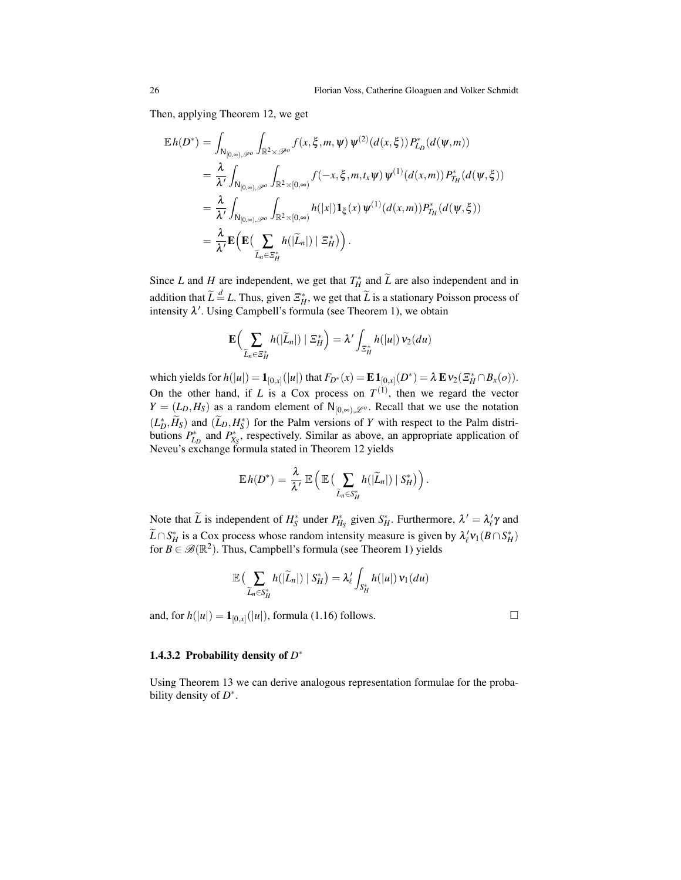Then, applying Theorem 12, we get

$$
\mathbb{E}h(D^*) = \int_{\mathsf{N}_{[0,\infty),\mathscr{P}^o}} \int_{\mathbb{R}^2 \times \mathscr{P}^o} f(x,\xi,m,\psi) \, \psi^{(2)}(d(x,\xi)) P^*_{L_D}(d(\psi,m))
$$
\n
$$
= \frac{\lambda}{\lambda'} \int_{\mathsf{N}_{[0,\infty),\mathscr{P}^o}} \int_{\mathbb{R}^2 \times [0,\infty)} f(-x,\xi,m,t_x\psi) \, \psi^{(1)}(d(x,m)) P^*_{T_H}(d(\psi,\xi))
$$
\n
$$
= \frac{\lambda}{\lambda'} \int_{\mathsf{N}_{[0,\infty),\mathscr{P}^o}} \int_{\mathbb{R}^2 \times [0,\infty)} h(|x|) \mathbf{1}_{\xi}(x) \, \psi^{(1)}(d(x,m)) P^*_{T_H}(d(\psi,\xi))
$$
\n
$$
= \frac{\lambda}{\lambda'} \mathbf{E} \Big( \mathbf{E} \Big( \sum_{\widetilde{L}_n \in \Xi_H^*} h(|\widetilde{L}_n|) \mid \Xi_H^* \Big) \Big).
$$

Since *L* and *H* are independent, we get that  $T_H^*$  and  $\tilde{L}$  are also independent and in addition that  $\widetilde{L} \stackrel{d}{=} L$ . Thus, given  $\mathbb{Z}_H^*$ , we get that  $\widetilde{L}$  is a stationary Poisson process of intensity  $\lambda'$ . Using Campbell's formula (see Theorem 1), we obtain

$$
\mathbf{E}\Big(\sum_{\widetilde{L}_n\in\Xi_H^*}h(|\widetilde{L}_n|)\mid\Xi_H^*\Big)=\lambda'\int_{\Xi_H^*}h(|u|)\,\mathsf{v}_2(du)
$$

which yields for  $h(|u|) = \mathbf{1}_{[0,x]}(|u|)$  that  $F_{D^*}(x) = \mathbf{E} \mathbf{1}_{[0,x]}(D^*) = \lambda \mathbf{E} \mathbf{v}_2(\mathbf{X}_H^* \cap B_x(o)).$ On the other hand, if  $L$  is a Cox process on  $T^{(1)}$ , then we regard the vector  $Y = (L_D, H_S)$  as a random element of N<sub>[0,∞)</sub>,  $\mathcal{L}$ <sup>o</sup>. Recall that we use the notation  $(L_D^*, \widetilde{H}_S)$  and  $(\widetilde{L}_D, H_S^*)$  for the Palm versions of *Y* with respect to the Palm distributions  $P_{L_D}^*$  and  $P_{X_S}^*$ , respectively. Similar as above, an appropriate application of Neveu's exchange formula stated in Theorem 12 yields

$$
\mathbb{E} h(D^*) = \frac{\lambda}{\lambda'} \mathbb{E} \left( \mathbb{E} \left( \sum_{\widetilde{L}_n \in S_H^*} h(|\widetilde{L}_n|) | S_H^* \right) \right).
$$

Note that  $\widetilde{L}$  is independent of  $H_S^*$  under  $P_{H_S}^*$  given  $S_H^*$ . Furthermore,  $\lambda' = \lambda'_{\ell} \gamma$  and  $\widetilde{L} \cap S_H^*$  is a Cox process whose random intensity measure is given by  $\lambda'_\ell v_1(B \cap S_H^*)$ for  $B \in \mathcal{B}(\mathbb{R}^2)$ . Thus, Campbell's formula (see Theorem 1) yields

$$
\mathbb{E}\left(\sum_{\widetilde{L}_n\in S_H^*}h(|\widetilde{L}_n|)\mid S_H^*\right)=\lambda'_\ell\int_{S_H^*}h(|u|)\,\nu_1(du)
$$

and, for  $h(|u|) = \mathbf{1}_{[0,x]}(|u|)$ , formula (1.16) follows.

## 1.4.3.2 Probability density of  $D^*$

Using Theorem 13 we can derive analogous representation formulae for the probability density of *D*<sup>∗</sup>.

$$
\Box
$$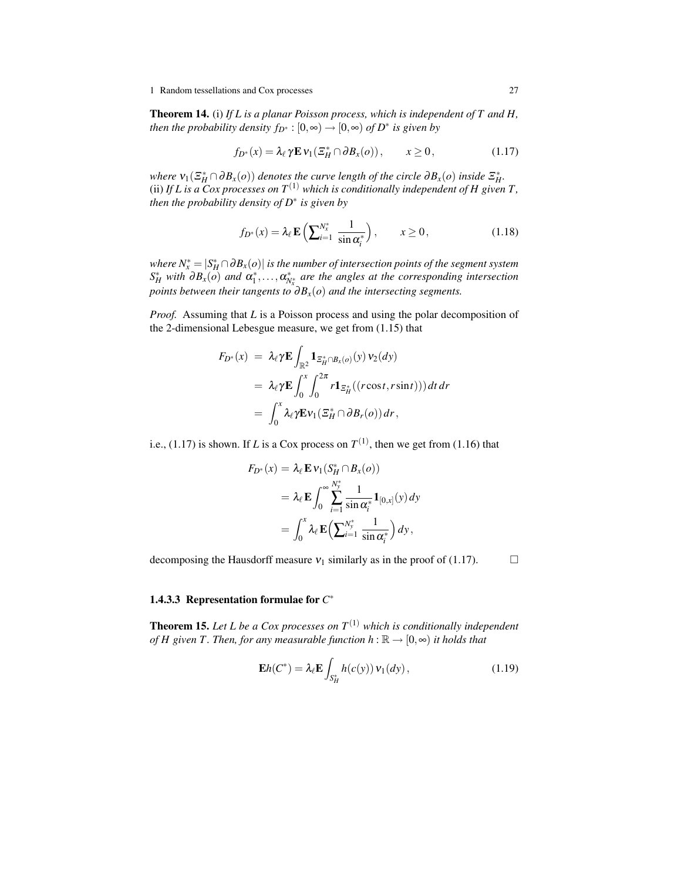1 Random tessellations and Cox processes 27

Theorem 14. (i) *If L is a planar Poisson process, which is independent of T and H, then the probability density*  $f_{D^*}: [0, \infty) \to [0, \infty)$  *of*  $D^*$  *is given by* 

$$
f_{D^*}(x) = \lambda_\ell \gamma \mathbf{E} \, \mathbf{v}_1(\Sigma_H^* \cap \partial B_x(o)), \qquad x \ge 0, \tag{1.17}
$$

*where*  $v_1(\mathcal{Z}_H^* \cap \partial B_x(o))$  *denotes the curve length of the circle*  $\partial B_x(o)$  *inside*  $\mathcal{Z}_H^*$ *.* (ii) If L is a Cox processes on  $T^{(1)}$  which is conditionally independent of H given T, *then the probability density of D*<sup>∗</sup> *is given by*

$$
f_{D^*}(x) = \lambda_\ell \mathbf{E}\left(\sum_{i=1}^{N_x^*} \frac{1}{\sin \alpha_i^*}\right), \qquad x \ge 0,
$$
 (1.18)

*where*  $N_x^* = |S_H^* \cap \partial B_x(o)|$  *is the number of intersection points of the segment system*  $S_H^*$  *with*  $\partial B_x(o)$  *and*  $\alpha_1^*, \ldots, \alpha_{N^*_x}^*$  *are the angles at the corresponding intersection points between their tangents to*  $\partial B_x(o)$  *and the intersecting segments.* 

*Proof.* Assuming that *L* is a Poisson process and using the polar decomposition of the 2-dimensional Lebesgue measure, we get from (1.15) that

$$
F_{D^*}(x) = \lambda_{\ell} \gamma \mathbf{E} \int_{\mathbb{R}^2} \mathbf{1}_{\mathcal{Z}_H^* \cap B_x(o)}(y) v_2(dy)
$$
  
=  $\lambda_{\ell} \gamma \mathbf{E} \int_0^x \int_0^{2\pi} r \mathbf{1}_{\mathcal{Z}_H^*}((r \cos t, r \sin t))) dt dr$   
=  $\int_0^x \lambda_{\ell} \gamma \mathbf{E} v_1(\mathcal{Z}_H^* \cap \partial B_r(o)) dr,$ 

i.e., (1.17) is shown. If *L* is a Cox process on  $T^{(1)}$ , then we get from (1.16) that

$$
F_{D^*}(x) = \lambda_{\ell} \mathbf{E} \, \nu_1(S_H^* \cap B_x(o))
$$
  
=  $\lambda_{\ell} \mathbf{E} \int_0^{\infty} \sum_{i=1}^{N_y^*} \frac{1}{\sin \alpha_i^*} \mathbf{1}_{[0,x]}(y) \, dy$   
=  $\int_0^x \lambda_{\ell} \mathbf{E} \Big( \sum_{i=1}^{N_y^*} \frac{1}{\sin \alpha_i^*} \Big) \, dy$ ,

decomposing the Hausdorff measure  $v_1$  similarly as in the proof of (1.17).  $\Box$ 

## 1.4.3.3 Representation formulae for  $C^*$

**Theorem 15.** Let L be a Cox processes on  $T^{(1)}$  which is conditionally independent *of H given T. Then, for any measurable function h* :  $\mathbb{R} \rightarrow [0,\infty)$  *it holds that* 

$$
\mathbf{E}h(C^*) = \lambda_{\ell} \mathbf{E} \int_{S_H^*} h(c(y)) \, \mathbf{v}_1(dy) \,, \tag{1.19}
$$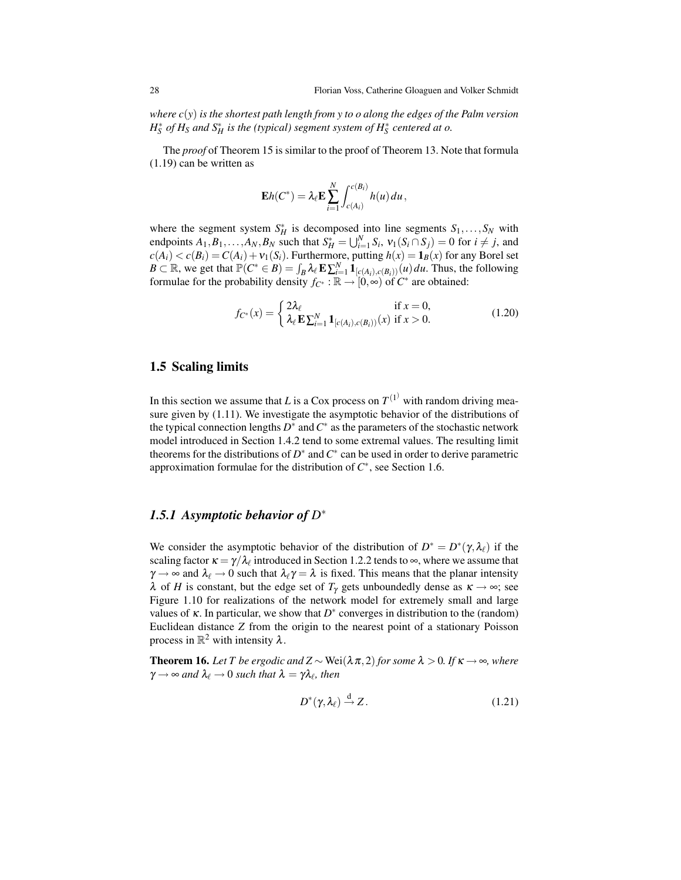*where c*(*y*) *is the shortest path length from y to o along the edges of the Palm version*  $H_S^*$  *of*  $H_S$  *and*  $S_H^*$  *is the (typical) segment system of*  $H_S^*$  *centered at o.* 

The *proof* of Theorem 15 is similar to the proof of Theorem 13. Note that formula (1.19) can be written as

$$
\mathbf{E}h(C^*) = \lambda_{\ell} \mathbf{E} \sum_{i=1}^N \int_{c(A_i)}^{c(B_i)} h(u) du,
$$

where the segment system  $S_H^*$  is decomposed into line segments  $S_1, \ldots, S_N$  with endpoints  $A_1, B_1, \ldots, A_N, B_N$  such that  $S_H^* = \bigcup_{i=1}^N S_i$ ,  $v_1(S_i \cap S_j) = 0$  for  $i \neq j$ , and  $c(A_i) < c(B_i) = C(A_i) + v_1(S_i)$ . Furthermore, putting  $h(x) = \mathbf{1}_B(x)$  for any Borel set  $B \subset \mathbb{R}$ , we get that  $\mathbb{P}(C^* \in B) = \int_B \lambda_\ell \mathbf{E} \sum_{i=1}^N \mathbf{1}_{[c(A_i),c(B_i))}(u) du$ . Thus, the following formulae for the probability density  $f_{\mathcal{C}^*}: \mathbb{R} \to [0, \infty)$  of  $\mathcal{C}^*$  are obtained:

$$
f_{C^*}(x) = \begin{cases} 2\lambda_\ell & \text{if } x = 0, \\ \lambda_\ell \mathbf{E} \sum_{i=1}^N \mathbf{1}_{[c(A_i),c(B_i))}(x) & \text{if } x > 0. \end{cases}
$$
(1.20)

## 1.5 Scaling limits

In this section we assume that *L* is a Cox process on  $T^{(1)}$  with random driving measure given by (1.11). We investigate the asymptotic behavior of the distributions of the typical connection lengths  $D^*$  and  $C^*$  as the parameters of the stochastic network model introduced in Section 1.4.2 tend to some extremal values. The resulting limit theorems for the distributions of  $D^*$  and  $C^*$  can be used in order to derive parametric approximation formulae for the distribution of  $C^*$ , see Section 1.6.

# *1.5.1 Asymptotic behavior of D* ∗

We consider the asymptotic behavior of the distribution of  $D^* = D^*(\gamma, \lambda_\ell)$  if the scaling factor  $\kappa = \gamma/\lambda_\ell$  introduced in Section 1.2.2 tends to  $\infty$ , where we assume that  $\gamma \rightarrow \infty$  and  $\lambda_{\ell} \rightarrow 0$  such that  $\lambda_{\ell} \gamma = \lambda$  is fixed. This means that the planar intensity  $\lambda$  of *H* is constant, but the edge set of  $T_\gamma$  gets unboundedly dense as  $\kappa \to \infty$ ; see Figure 1.10 for realizations of the network model for extremely small and large values of  $\kappa$ . In particular, we show that  $D^*$  converges in distribution to the (random) Euclidean distance *Z* from the origin to the nearest point of a stationary Poisson process in  $\mathbb{R}^2$  with intensity  $\lambda$ .

**Theorem 16.** *Let T be ergodic and*  $Z \sim$  Wei( $\lambda \pi$ , 2) *for some*  $\lambda > 0$ *. If*  $\kappa \rightarrow \infty$ *, where*  $\gamma \rightarrow \infty$  and  $\lambda_\ell \rightarrow 0$  such that  $\lambda = \gamma \lambda_\ell$ , then

$$
D^*(\gamma, \lambda_\ell) \stackrel{\rm d}{\to} Z. \tag{1.21}
$$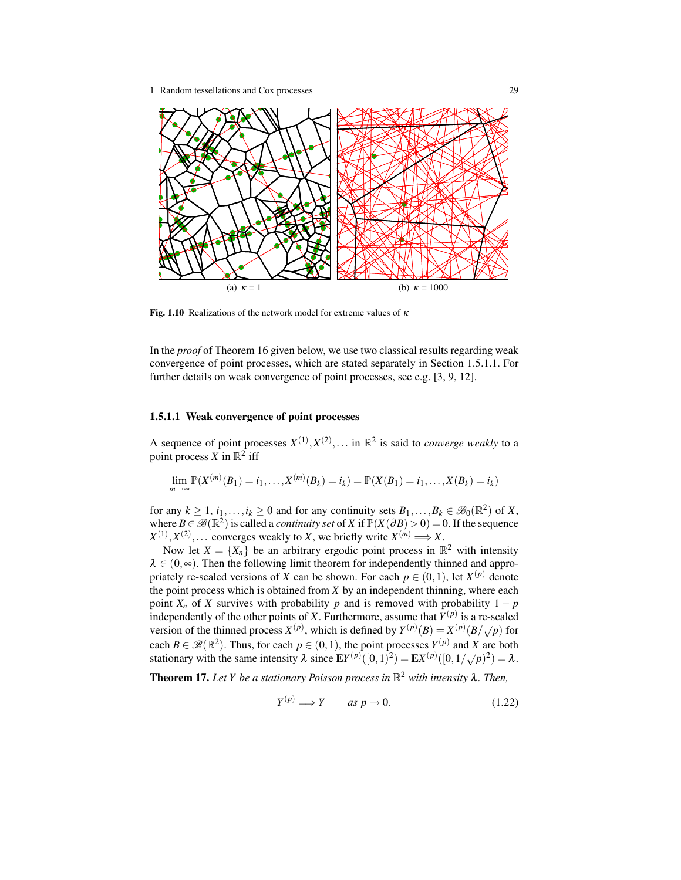

Fig. 1.10 Realizations of the network model for extreme values of  $\kappa$ 

In the *proof* of Theorem 16 given below, we use two classical results regarding weak convergence of point processes, which are stated separately in Section 1.5.1.1. For further details on weak convergence of point processes, see e.g. [3, 9, 12].

#### 1.5.1.1 Weak convergence of point processes

A sequence of point processes  $X^{(1)}, X^{(2)}, \ldots$  in  $\mathbb{R}^2$  is said to *converge weakly* to a point process  $\overline{X}$  in  $\mathbb{R}^2$  iff

$$
\lim_{m \to \infty} \mathbb{P}(X^{(m)}(B_1) = i_1, \dots, X^{(m)}(B_k) = i_k) = \mathbb{P}(X(B_1) = i_1, \dots, X(B_k) = i_k)
$$

for any  $k \ge 1$ ,  $i_1, \ldots, i_k \ge 0$  and for any continuity sets  $B_1, \ldots, B_k \in \mathscr{B}_0(\mathbb{R}^2)$  of X, where  $B \in \mathcal{B}(\mathbb{R}^2)$  is called a *continuity set* of *X* if  $\mathbb{P}(X(\partial B) > 0) = 0$ . If the sequence  $X^{(1)}, X^{(2)}, \ldots$  converges weakly to *X*, we briefly write  $X^{(m)} \Longrightarrow X$ .

Now let  $X = \{X_n\}$  be an arbitrary ergodic point process in  $\mathbb{R}^2$  with intensity  $\lambda \in (0, \infty)$ . Then the following limit theorem for independently thinned and appropriately re-scaled versions of *X* can be shown. For each  $p \in (0,1)$ , let  $X^{(p)}$  denote the point process which is obtained from *X* by an independent thinning, where each point  $X_n$  of *X* survives with probability *p* and is removed with probability  $1 - p$ independently of the other points of *X*. Furthermore, assume that  $Y^{(p)}$  is a re-scaled version of the thinned process  $X^{(p)}$ , which is defined by  $Y^{(p)}(B) = X^{(p)}(B/\sqrt{p})$  for each  $B \in \mathscr{B}(\mathbb{R}^2)$ . Thus, for each  $p \in (0,1)$ , the point processes  $Y^{(p)}$  and X are both stationary with the same intensity  $\lambda$  since  $EY^{(p)}([0,1)^2) = EX^{(p)}([0,1/\sqrt{p})^2) = \lambda$ .

Theorem 17. *Let Y be a stationary Poisson process in* R <sup>2</sup> *with intensity* λ*. Then,*

$$
Y^{(p)} \Longrightarrow Y \qquad \text{as } p \to 0. \tag{1.22}
$$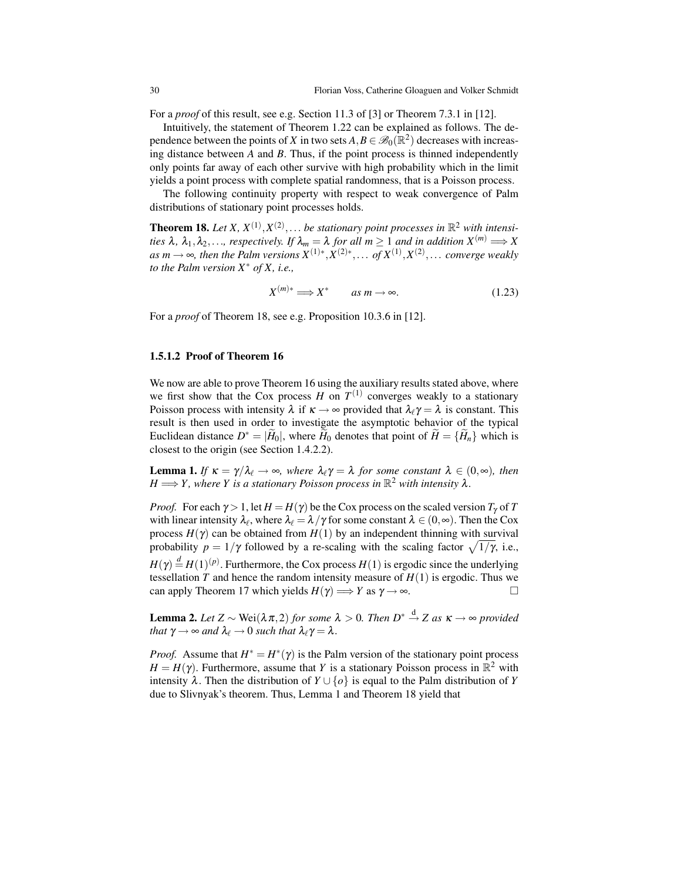For a *proof* of this result, see e.g. Section 11.3 of [3] or Theorem 7.3.1 in [12].

Intuitively, the statement of Theorem 1.22 can be explained as follows. The dependence between the points of *X* in two sets  $A, B \in \mathscr{B}_0(\mathbb{R}^2)$  decreases with increasing distance between *A* and *B*. Thus, if the point process is thinned independently only points far away of each other survive with high probability which in the limit yields a point process with complete spatial randomness, that is a Poisson process.

The following continuity property with respect to weak convergence of Palm distributions of stationary point processes holds.

**Theorem 18.** Let X,  $X^{(1)}, X^{(2)}, \ldots$  be stationary point processes in  $\mathbb{R}^2$  with intensi*ties*  $\lambda$ ,  $\lambda_1, \lambda_2, \ldots$ , *respectively. If*  $\lambda_m = \lambda$  *for all*  $m \geq 1$  *and in addition*  $X^{(m)} \Longrightarrow X$  $as m \rightarrow \infty$ , then the Palm versions  $X^{(1)*}, X^{(2)*}, \ldots$  of  $X^{(1)}, X^{(2)}, \ldots$  converge weakly *to the Palm version X*<sup>∗</sup> *of X, i.e.,*

$$
X^{(m)*} \Longrightarrow X^* \qquad as \; m \to \infty. \tag{1.23}
$$

For a *proof* of Theorem 18, see e.g. Proposition 10.3.6 in [12].

### 1.5.1.2 Proof of Theorem 16

We now are able to prove Theorem 16 using the auxiliary results stated above, where we first show that the Cox process  $H$  on  $T^{(1)}$  converges weakly to a stationary Poisson process with intensity  $\lambda$  if  $\kappa \to \infty$  provided that  $\lambda_\ell \gamma = \lambda$  is constant. This result is then used in order to investigate the asymptotic behavior of the typical Euclidean distance  $D^* = |\widetilde{H}_0|$ , where  $\widetilde{H}_0$  denotes that point of  $\widetilde{H} = {\widetilde{H}_n}$  which is closest to the origin (see Section 1.4.2.2).

**Lemma 1.** *If*  $\kappa = \gamma/\lambda_{\ell} \rightarrow \infty$ *, where*  $\lambda_{\ell}\gamma = \lambda$  *for some constant*  $\lambda \in (0,\infty)$ *, then*  $H \Longrightarrow Y$ , where *Y* is a stationary Poisson process in  $\mathbb{R}^2$  with intensity  $\lambda$ .

*Proof.* For each  $\gamma > 1$ , let  $H = H(\gamma)$  be the Cox process on the scaled version  $T_{\gamma}$  of T with linear intensity  $\lambda_\ell$ , where  $\lambda_\ell = \lambda/\gamma$  for some constant  $\lambda \in (0, \infty)$ . Then the Cox process  $H(γ)$  can be obtained from  $H(1)$  by an independent thinning with survival probability  $p = 1/\gamma$  followed by a re-scaling with the scaling factor  $\sqrt{1/\gamma}$ , i.e.,  $H(\gamma) \stackrel{d}{=} H(1)^{(p)}$ . Furthermore, the Cox process  $H(1)$  is ergodic since the underlying tessellation *T* and hence the random intensity measure of *H*(1) is ergodic. Thus we can apply Theorem 17 which yields  $H(\gamma) \Longrightarrow Y$  as  $\gamma \to \infty$ .

**Lemma 2.** Let  $Z \sim \text{Wei}(\lambda \pi, 2)$  for some  $\lambda > 0$ . Then  $D^* \stackrel{d}{\rightarrow} Z$  as  $\kappa \to \infty$  provided *that*  $\gamma \rightarrow \infty$  *and*  $\lambda_{\ell} \rightarrow 0$  *such that*  $\lambda_{\ell} \gamma = \lambda$ *.* 

*Proof.* Assume that  $H^* = H^*(\gamma)$  is the Palm version of the stationary point process  $H = H(\gamma)$ . Furthermore, assume that *Y* is a stationary Poisson process in  $\mathbb{R}^2$  with intensity  $\lambda$ . Then the distribution of  $Y \cup \{o\}$  is equal to the Palm distribution of *Y* due to Slivnyak's theorem. Thus, Lemma 1 and Theorem 18 yield that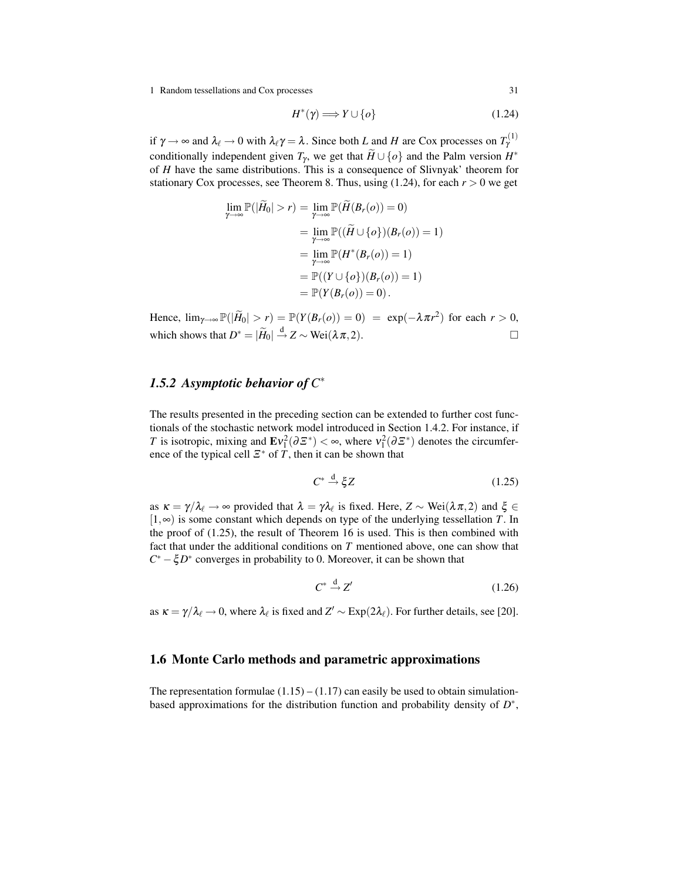1 Random tessellations and Cox processes 31

$$
H^*(\gamma) \Longrightarrow Y \cup \{o\} \tag{1.24}
$$

if  $\gamma \to \infty$  and  $\lambda_\ell \to 0$  with  $\lambda_\ell \gamma = \lambda$ . Since both *L* and *H* are Cox processes on  $T_\gamma^{(1)}$ conditionally independent given  $T_\gamma$ , we get that  $\widetilde{H} \cup \{o\}$  and the Palm version  $H^*$ of *H* have the same distributions. This is a consequence of Slivnyak' theorem for stationary Cox processes, see Theorem 8. Thus, using  $(1.24)$ , for each  $r > 0$  we get

$$
\lim_{\gamma \to \infty} \mathbb{P}(|\widetilde{H}_0| > r) = \lim_{\gamma \to \infty} \mathbb{P}(\widetilde{H}(B_r(o)) = 0)
$$
  
\n
$$
= \lim_{\gamma \to \infty} \mathbb{P}((\widetilde{H} \cup \{o\})(B_r(o)) = 1)
$$
  
\n
$$
= \lim_{\gamma \to \infty} \mathbb{P}(H^*(B_r(o)) = 1)
$$
  
\n
$$
= \mathbb{P}((Y \cup \{o\})(B_r(o)) = 1)
$$
  
\n
$$
= \mathbb{P}(Y(B_r(o)) = 0).
$$

Hence,  $\lim_{\gamma \to \infty} \mathbb{P}(|\widetilde{H}_0| > r) = \mathbb{P}(Y(B_r(o)) = 0) = \exp(-\lambda \pi r^2)$  for each  $r > 0$ , which shows that  $D^* = |\widetilde{H}_0| \stackrel{d}{\rightarrow} Z \sim \text{Wei}(\lambda \pi, 2)$ .

# *1.5.2 Asymptotic behavior of C* ∗

The results presented in the preceding section can be extended to further cost functionals of the stochastic network model introduced in Section 1.4.2. For instance, if *T* is isotropic, mixing and  $\mathbf{E}v_1^2(\partial \mathcal{Z}^*) < \infty$ , where  $v_1^2(\partial \mathcal{Z}^*)$  denotes the circumference of the typical cell  $\mathcal{Z}^*$  of *T*, then it can be shown that

$$
C^* \stackrel{\text{d}}{\rightarrow} \xi Z \tag{1.25}
$$

as  $\kappa = \gamma/\lambda_\ell \to \infty$  provided that  $\lambda = \gamma \lambda_\ell$  is fixed. Here,  $Z \sim \text{Wei}(\lambda \pi, 2)$  and  $\xi \in$ [1,∞) is some constant which depends on type of the underlying tessellation *T*. In the proof of  $(1.25)$ , the result of Theorem 16 is used. This is then combined with fact that under the additional conditions on *T* mentioned above, one can show that *C* <sup>∗</sup> −ξ*D* ∗ converges in probability to 0. Moreover, it can be shown that

$$
C^* \stackrel{\rm d}{\rightarrow} Z' \tag{1.26}
$$

as  $\kappa = \gamma/\lambda_\ell \to 0$ , where  $\lambda_\ell$  is fixed and  $Z' \sim \text{Exp}(2\lambda_\ell)$ . For further details, see [20].

## 1.6 Monte Carlo methods and parametric approximations

The representation formulae  $(1.15) - (1.17)$  can easily be used to obtain simulationbased approximations for the distribution function and probability density of *D* ∗ ,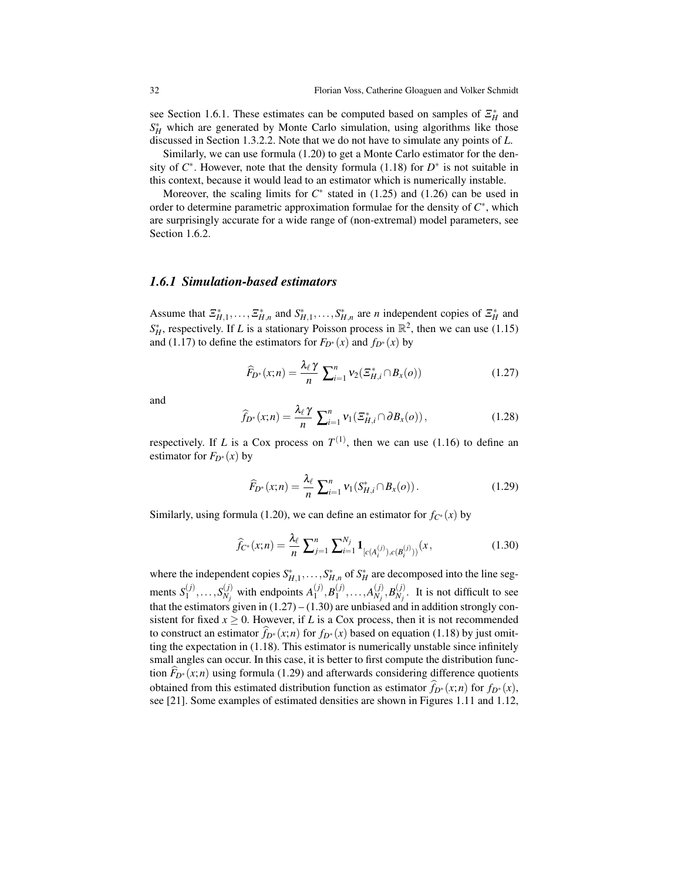see Section 1.6.1. These estimates can be computed based on samples of  $\mathcal{Z}_{H}^{*}$  and  $S_H^*$  which are generated by Monte Carlo simulation, using algorithms like those discussed in Section 1.3.2.2. Note that we do not have to simulate any points of *L*.

Similarly, we can use formula (1.20) to get a Monte Carlo estimator for the density of  $C^*$ . However, note that the density formula (1.18) for  $D^*$  is not suitable in this context, because it would lead to an estimator which is numerically instable.

Moreover, the scaling limits for  $C^*$  stated in  $(1.25)$  and  $(1.26)$  can be used in order to determine parametric approximation formulae for the density of *C* ∗ , which are surprisingly accurate for a wide range of (non-extremal) model parameters, see Section 1.6.2.

## *1.6.1 Simulation-based estimators*

Assume that  $\mathcal{Z}_{H,1}^*$ ,  $\ldots$ ,  $\mathcal{Z}_{H,n}^*$  and  $S_{H,1}^*$ ,  $\ldots$ ,  $S_{H,n}^*$  are *n* independent copies of  $\mathcal{Z}_H^*$  and  $S_H^*$ , respectively. If *L* is a stationary Poisson process in  $\mathbb{R}^2$ , then we can use (1.15) and (1.17) to define the estimators for  $F_{D^*}(x)$  and  $f_{D^*}(x)$  by

$$
\widehat{F}_{D^*}(x;n) = \frac{\lambda_\ell \gamma}{n} \sum_{i=1}^n v_2(\Xi_{H,i}^* \cap B_x(o)) \tag{1.27}
$$

and

$$
\widehat{f}_{D^*}(x;n) = \frac{\lambda_\ell \gamma}{n} \sum_{i=1}^n v_1(\mathcal{Z}_{H,i}^* \cap \partial B_x(o)), \qquad (1.28)
$$

respectively. If *L* is a Cox process on  $T^{(1)}$ , then we can use (1.16) to define an estimator for  $F_{D^*}(x)$  by

$$
\widehat{F}_{D^*}(x;n) = \frac{\lambda_{\ell}}{n} \sum_{i=1}^n v_1(S_{H,i}^* \cap B_x(o)).
$$
\n(1.29)

Similarly, using formula (1.20), we can define an estimator for  $f_{C^*}(x)$  by

$$
\widehat{f}_{C^*}(x;n) = \frac{\lambda_\ell}{n} \sum_{j=1}^n \sum_{i=1}^{N_j} \mathbf{1}_{[c(A_i^{(j)}),c(B_i^{(j)}))}(x,\tag{1.30}
$$

where the independent copies  $S_{H,1}^*$ , ...,  $S_{H,n}^*$  of  $S_H^*$  are decomposed into the line segments  $S_1^{(j)}$  $\binom{(j)}{1}, \ldots, S_{N_j}^{(j)}$  $\binom{(\mathit{i})}{N_{\mathit{j}}}$  with endpoints  $A_1^{(\mathit{j})}$  $_1^{(j)},B_1^{(j)}$  $\binom{(j)}{1}, \ldots, A_{N_j}^{(j)}$  $\binom{(j)}{N_j}, \widetilde{B_{N_j}}$  $N_j$ . It is not difficult to see that the estimators given in  $(1.27) - (1.30)$  are unbiased and in addition strongly consistent for fixed  $x \ge 0$ . However, if *L* is a Cox process, then it is not recommended to construct an estimator  $f_{D^*}(x; n)$  for  $f_{D^*}(x)$  based on equation (1.18) by just omitting the expectation in (1.18). This estimator is numerically unstable since infinitely small angles can occur. In this case, it is better to first compute the distribution function  $F_{D^*}(x; n)$  using formula (1.29) and afterwards considering difference quotients obtained from this estimated distribution function as estimator  $\hat{f}_{D^*}(x; n)$  for  $f_{D^*}(x)$ , see [21]. Some examples of estimated densities are shown in Figures 1.11 and 1.12,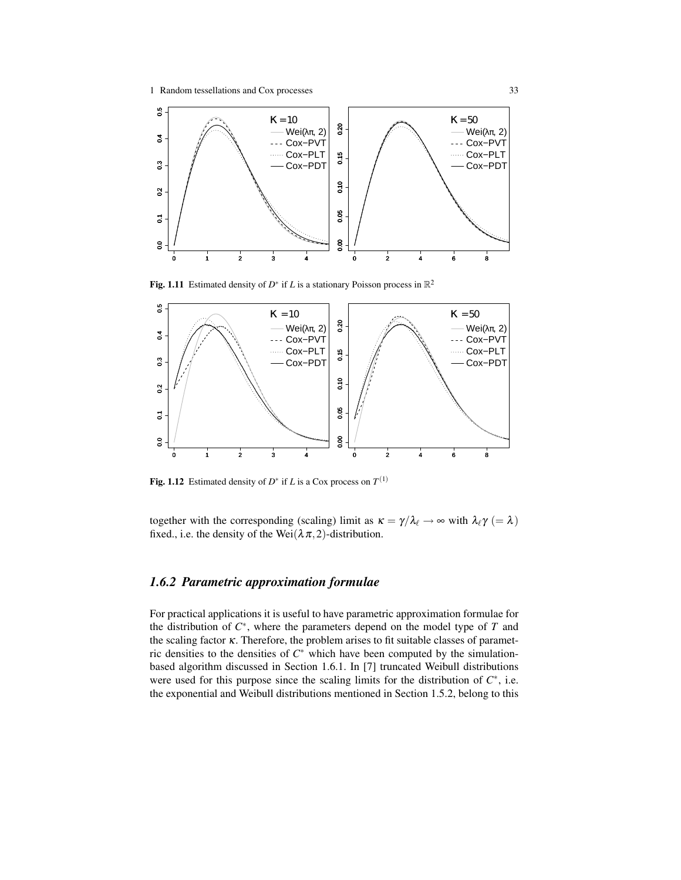

Fig. 1.11 Estimated density of  $D^*$  if *L* is a stationary Poisson process in  $\mathbb{R}^2$ 



Fig. 1.12 Estimated density of  $D^*$  if *L* is a Cox process on  $T^{(1)}$ 

together with the corresponding (scaling) limit as  $\kappa = \gamma/\lambda_{\ell} \to \infty$  with  $\lambda_{\ell} \gamma (= \lambda)$ fixed., i.e. the density of the Wei $(\lambda \pi, 2)$ -distribution.

## *1.6.2 Parametric approximation formulae*

For practical applications it is useful to have parametric approximation formulae for the distribution of  $C^*$ , where the parameters depend on the model type of  $T$  and the scaling factor κ. Therefore, the problem arises to fit suitable classes of parametric densities to the densities of *C* <sup>∗</sup> which have been computed by the simulationbased algorithm discussed in Section 1.6.1. In [7] truncated Weibull distributions were used for this purpose since the scaling limits for the distribution of  $C^*$ , i.e. the exponential and Weibull distributions mentioned in Section 1.5.2, belong to this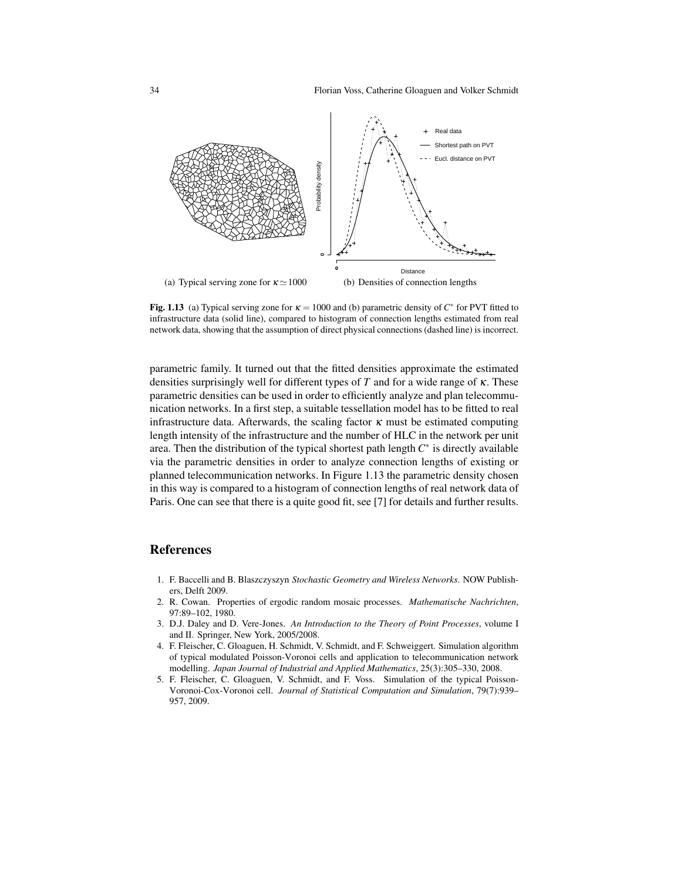

Fig. 1.13 (a) Typical serving zone for  $\kappa = 1000$  and (b) parametric density of  $C^*$  for PVT fitted to infrastructure data (solid line), compared to histogram of connection lengths estimated from real network data, showing that the assumption of direct physical connections (dashed line) is incorrect.

parametric family. It turned out that the fitted densities approximate the estimated densities surprisingly well for different types of *T* and for a wide range of κ. These parametric densities can be used in order to efficiently analyze and plan telecommunication networks. In a first step, a suitable tessellation model has to be fitted to real infrastructure data. Afterwards, the scaling factor  $\kappa$  must be estimated computing length intensity of the infrastructure and the number of HLC in the network per unit area. Then the distribution of the typical shortest path length *C* ∗ is directly available via the parametric densities in order to analyze connection lengths of existing or planned telecommunication networks. In Figure 1.13 the parametric density chosen in this way is compared to a histogram of connection lengths of real network data of Paris. One can see that there is a quite good fit, see [7] for details and further results.

## References

- 1. F. Baccelli and B. Blaszczyszyn *Stochastic Geometry and Wireless Networks*. NOW Publishers, Delft 2009.
- 2. R. Cowan. Properties of ergodic random mosaic processes. *Mathematische Nachrichten*, 97:89–102, 1980.
- 3. D.J. Daley and D. Vere-Jones. *An Introduction to the Theory of Point Processes*, volume I and II. Springer, New York, 2005/2008.
- 4. F. Fleischer, C. Gloaguen, H. Schmidt, V. Schmidt, and F. Schweiggert. Simulation algorithm of typical modulated Poisson-Voronoi cells and application to telecommunication network modelling. *Japan Journal of Industrial and Applied Mathematics*, 25(3):305–330, 2008.
- 5. F. Fleischer, C. Gloaguen, V. Schmidt, and F. Voss. Simulation of the typical Poisson-Voronoi-Cox-Voronoi cell. *Journal of Statistical Computation and Simulation*, 79(7):939– 957, 2009.